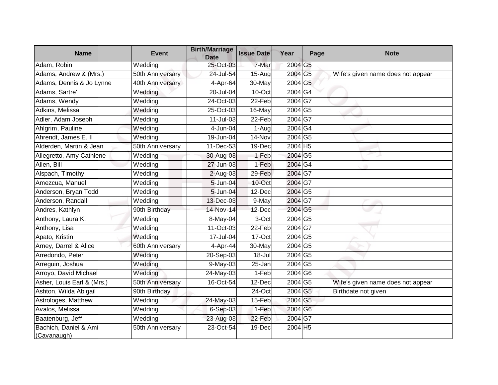| <b>Name</b>                          | <b>Event</b>     | <b>Birth/Marriage</b><br><b>Date</b> | <b>Issue Date</b> | Year                  | Page | <b>Note</b>                       |
|--------------------------------------|------------------|--------------------------------------|-------------------|-----------------------|------|-----------------------------------|
| Adam, Robin                          | Wedding          | $25-Oct-03$                          | 7-Mar             | 2004 G5               |      |                                   |
| Adams, Andrew & (Mrs.)               | 50th Anniversary | 24-Jul-54                            | 15-Aug            | 2004 G5               |      | Wife's given name does not appear |
| Adams, Dennis & Jo Lynne             | 40th Anniversary | $4-Apr-64$                           | 30-May            | 2004 G5               |      |                                   |
| Adams, Sartre'                       | Wedding          | 20-Jul-04                            | 10-Oct            | 2004 G4               |      |                                   |
| Adams, Wendy                         | Wedding          | 24-Oct-03                            | 22-Feb            | 2004G7                |      |                                   |
| Adkins, Melissa                      | Wedding          | 25-Oct-03                            | 16-May            | 2004 G5               |      |                                   |
| Adler, Adam Joseph                   | Wedding          | $11$ -Jul-03                         | 22-Feb            | 2004 G7               |      |                                   |
| Ahlgrim, Pauline                     | Wedding          | 4-Jun-04                             | 1-Aug             | 2004G4                |      |                                   |
| Ahrendt, James E. II                 | Wedding          | 19-Jun-04                            | 14-Nov            | 2004 G5               |      |                                   |
| Alderden, Martin & Jean              | 50th Anniversary | $11 - Dec-53$                        | 19-Dec            | $2004$ H <sub>5</sub> |      |                                   |
| Allegretto, Amy Cathlene             | Wedding          | 30-Aug-03                            | 1-Feb             | 2004 G5               |      |                                   |
| Allen, Bill                          | Wedding          | 27-Jun-03                            | $1-Feb$           | 2004 G4               |      |                                   |
| Alspach, Timothy                     | Wedding          | $2-Aug-03$                           | 29-Feb            | 2004 G7               |      |                                   |
| Amezcua, Manuel                      | Wedding          | 5-Jun-04                             | 10-Oct            | 2004 G7               |      |                                   |
| Anderson, Bryan Todd                 | Wedding          | 5-Jun-04                             | 12-Dec            | 2004 G5               |      |                                   |
| Anderson, Randall                    | Wedding          | 13-Dec-03                            | 9-May             | 2004 G7               |      |                                   |
| Andres, Kathlyn                      | 90th Birthday    | 14-Nov-14                            | 12-Dec            | 2004 G5               |      |                                   |
| Anthony, Laura K.                    | Wedding          | 8-May-04                             | 3-Oct             | 2004 G5               |      |                                   |
| Anthony, Lisa                        | Wedding          | 11-Oct-03                            | 22-Feb            | 2004 G7               |      |                                   |
| Apato, Kristin                       | Wedding          | 17-Jul-04                            | 17-Oct            | 2004 G5               |      |                                   |
| Arney, Darrel & Alice                | 60th Anniversary | 4-Apr-44                             | 30-May            | 2004 G5               |      |                                   |
| Arredondo, Peter                     | Wedding          | 20-Sep-03                            | 18-Jul            | 2004 G5               |      |                                   |
| Arreguin, Joshua                     | Wedding          | 9-May-03                             | 25-Jan            | 2004 G5               |      |                                   |
| Arroyo, David Michael                | Wedding          | 24-May-03                            | 1-Feb             | 2004 G6               |      |                                   |
| Asher, Louis Earl & (Mrs.)           | 50th Anniversary | 16-Oct-54                            | 12-Dec            | 2004 G5               |      | Wife's given name does not appear |
| Ashton, Wilda Abigail                | 90th Birthday    |                                      | $24$ -Oct         | 2004 G5               |      | Birthdate not given               |
| Astrologes, Matthew                  | Wedding          | 24-May-03                            | 15-Feb            | 2004 G5               |      |                                   |
| Avalos, Melissa                      | Wedding          | 6-Sep-03                             | 1-Feb             | 2004 G6               |      |                                   |
| Baatenburg, Jeff                     | Wedding          | 23-Aug-03                            | 22-Feb            | 2004 G7               |      |                                   |
| Bachich, Daniel & Ami<br>(Cavanaugh) | 50th Anniversary | 23-Oct-54                            | 19-Dec            | 2004 H5               |      |                                   |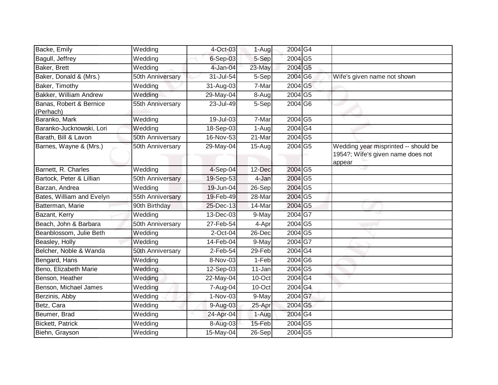| Backe, Emily                         | Wedding          | 4-Oct-03    | 1-Augl               | 2004G4  |                                                                                     |
|--------------------------------------|------------------|-------------|----------------------|---------|-------------------------------------------------------------------------------------|
| Bagull, Jeffrey                      | Wedding          | $6-Sep-03$  | 5-Sep                | 2004 G5 |                                                                                     |
| Baker, Brett                         | Wedding          | 4-Jan-04    | 23-May               | 2004 G5 |                                                                                     |
| Baker, Donald & (Mrs.)               | 50th Anniversary | 31-Jul-54   | $5-$ Sep             | 2004 G6 | Wife's given name not shown                                                         |
| Baker, Timothy                       | Wedding          | 31-Aug-03   | 7-Mar                | 2004 G5 |                                                                                     |
| Bakker, William Andrew               | Wedding          | 29-May-04   | 8-Aug                | 2004 G5 |                                                                                     |
| Banas, Robert & Bernice<br>(Perhach) | 55th Anniversary | 23-Jul-49   | 5-Sep                | 2004 G6 |                                                                                     |
| Baranko, Mark                        | Wedding          | 19-Jul-03   | 7-Mar                | 2004 G5 |                                                                                     |
| Baranko-Jucknowski, Lori             | Wedding          | 18-Sep-03   | 1-Aug                | 2004 G4 |                                                                                     |
| Barath, Bill & Lavon                 | 50th Anniversary | 16-Nov-53   | $\overline{2}$ 1-Mar | 2004 G5 |                                                                                     |
| Barnes, Wayne & (Mrs.)               | 50th Anniversary | 29-May-04   | $15-Aug$             | 2004 G5 | Wedding year misprinted -- should be<br>1954?; Wife's given name does not<br>appear |
| Barnett, R. Charles                  | Wedding          | $4-$ Sep-04 | 12-Dec               | 2004 G5 |                                                                                     |
| Bartock, Peter & Lillian             | 50th Anniversary | 19-Sep-53   | 4-Jan                | 2004 G5 |                                                                                     |
| Barzan, Andrea                       | Wedding          | 19-Jun-04   | 26-Sep               | 2004 G5 |                                                                                     |
| Bates, William and Evelyn            | 55th Anniversary | 19-Feb-49   | 28-Mar               | 2004 G5 |                                                                                     |
| Batterman, Marie                     | 90th Birthday    | 25-Dec-13   | 14-Mar               | 2004 G5 |                                                                                     |
| Bazant, Kerry                        | Wedding          | 13-Dec-03   | 9-May                | 2004 G7 |                                                                                     |
| Beach, John & Barbara                | 50th Anniversary | 27-Feb-54   | 4-Apr                | 2004 G5 |                                                                                     |
| Beanblossom, Julie Beth              | Wedding          | $2$ -Oct-04 | $26$ -Dec            | 2004 G5 |                                                                                     |
| Beasley, Holly                       | Wedding          | 14-Feb-04   | 9-May                | 2004G7  |                                                                                     |
| Belcher, Noble & Wanda               | 50th Anniversary | $2$ -Feb-54 | $29 - Feb$           | 2004 G4 |                                                                                     |
| Bengard, Hans                        | Wedding          | 8-Nov-03    | 1-Feb                | 2004 G6 |                                                                                     |
| Beno, Elizabeth Marie                | Wedding          | 12-Sep-03   | 11-Jan               | 2004 G5 |                                                                                     |
| Benson, Heather                      | Wedding          | 22-May-04   | 10-Oct               | 2004G4  |                                                                                     |
| Benson, Michael James                | Wedding          | 7-Aug-04    | 10-Oct               | 2004 G4 |                                                                                     |
| Berzinis, Abby                       | Wedding          | 1-Nov-03    | $9-May$              | 2004 G7 |                                                                                     |
| Betz, Cara                           | Wedding          | 9-Aug-03    | 25-Apr               | 2004 G5 |                                                                                     |
| Beumer, Brad                         | Wedding          | 24-Apr-04   | 1-Aug                | 2004 G4 |                                                                                     |
| Bickett, Patrick                     | Wedding          | 8-Aug-03    | 15-Feb               | 2004 G5 |                                                                                     |
| Biehn, Grayson                       | Wedding          | 15-May-04   | 26-Sep               | 2004 G5 |                                                                                     |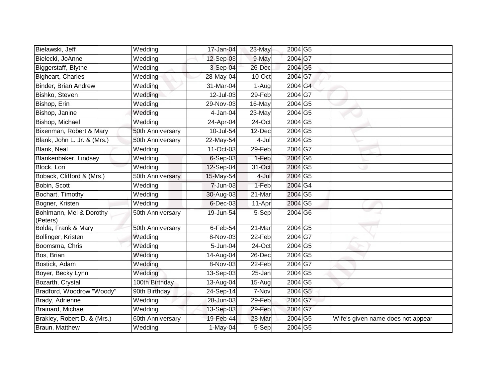| Bielawski, Jeff                     | Wedding          | 17-Jan-04     | 23-May | 2004 G5 |                                   |
|-------------------------------------|------------------|---------------|--------|---------|-----------------------------------|
| Bielecki, JoAnne                    | Wedding          | 12-Sep-03     | 9-May  | 2004 G7 |                                   |
| Biggerstaff, Blythe                 | Wedding          | 3-Sep-04      | 26-Dec | 2004 G5 |                                   |
| Bigheart, Charles                   | Wedding          | 28-May-04     | 10-Oct | 2004 G7 |                                   |
| Binder, Brian Andrew                | Wedding          | 31-Mar-04     | 1-Aug  | 2004 G4 |                                   |
| Bishko, Steven                      | Wedding          | 12-Jul-03     | 29-Feb | 2004G7  |                                   |
| Bishop, Erin                        | Wedding          | 29-Nov-03     | 16-May | 2004 G5 |                                   |
| Bishop, Janine                      | Wedding          | $4$ -Jan-04   | 23-May | 2004 G5 |                                   |
| Bishop, Michael                     | Wedding          | 24-Apr-04     | 24-Oct | 2004 G5 |                                   |
| Bixenman, Robert & Mary             | 50th Anniversary | 10-Jul-54     | 12-Dec | 2004 G5 |                                   |
| Blank, John L. Jr. & (Mrs.)         | 50th Anniversary | 22-May-54     | 4-Jul  | 2004 G5 |                                   |
| Blank, Neal                         | Wedding          | $11-Oct-03$   | 29-Feb | 2004 G7 |                                   |
| Blankenbaker, Lindsey               | Wedding          | 6-Sep-03      | 1-Feb  | 2004 G6 |                                   |
| Block, Lori                         | Wedding          | 12-Sep-04     | 31-Oct | 2004 G5 |                                   |
| Boback, Clifford & (Mrs.)           | 50th Anniversary | 15-May-54     | 4-Jul  | 2004 G5 |                                   |
| Bobin, Scott                        | Wedding          | 7-Jun-03      | 1-Feb  | 2004 G4 |                                   |
| Bochart, Timothy                    | Wedding          | 30-Aug-03     | 21-Mar | 2004 G5 |                                   |
| Bogner, Kristen                     | Wedding          | $6$ -Dec-03   | 11-Apr | 2004 G5 |                                   |
| Bohlmann, Mel & Dorothy<br>(Peters) | 50th Anniversary | 19-Jun-54     | 5-Sep  | 2004 G6 |                                   |
| Bolda, Frank & Mary                 | 50th Anniversary | $6$ -Feb-54   | 21-Mar | 2004 G5 |                                   |
| Bollinger, Kristen                  | Wedding          | 8-Nov-03      | 22-Feb | 2004G7  |                                   |
| Boomsma, Chris                      | Wedding          | 5-Jun-04      | 24-Oct | 2004 G5 |                                   |
| Bos, Brian                          | Wedding          | $14 - Aug-04$ | 26-Dec | 2004 G5 |                                   |
| Bostick, Adam                       | Wedding          | 8-Nov-03      | 22-Feb | 2004G7  |                                   |
| Boyer, Becky Lynn                   | Wedding          | 13-Sep-03     | 25-Jan | 2004 G5 |                                   |
| Bozarth, Crystal                    | 100th Birthday   | 13-Aug-04     | 15-Aug | 2004 G5 |                                   |
| Bradford, Woodrow "Woody"           | 90th Birthday    | 24-Sep-14     | 7-Nov  | 2004 G5 |                                   |
| Brady, Adrienne                     | Wedding          | 28-Jun-03     | 29-Feb | 2004 G7 |                                   |
| Brainard, Michael                   | Wedding          | 13-Sep-03     | 29-Feb | 2004 G7 |                                   |
| Brakley, Robert D. & (Mrs.)         | 60th Anniversary | 19-Feb-44     | 28-Mar | 2004 G5 | Wife's given name does not appear |
| Braun, Matthew                      | Wedding          | $1-May-04$    | 5-Sep  | 2004 G5 |                                   |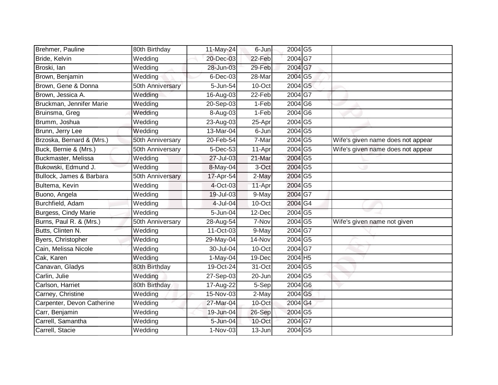| Brehmer, Pauline           | 80th Birthday    | 11-May-24     | 6-Jun    | 2004 G5                    |                                   |
|----------------------------|------------------|---------------|----------|----------------------------|-----------------------------------|
| Bride, Kelvin              | Wedding          | 20-Dec-03     | 22-Feb   | 2004 G7                    |                                   |
| Broski, lan                | Wedding          | 28-Jun-03     | 29-Feb   | 2004 G7                    |                                   |
| Brown, Benjamin            | Wedding          | 6-Dec-03      | 28-Mar   | 2004 G5                    |                                   |
| Brown, Gene & Donna        | 50th Anniversary | 5-Jun-54      | 10-Oct   | 2004 G5                    |                                   |
| Brown, Jessica A.          | Wedding          | 16-Aug-03     | 22-Feb   | 2004 G7                    |                                   |
| Bruckman, Jennifer Marie   | Wedding          | 20-Sep-03     | 1-Feb    | 2004 G6                    |                                   |
| Bruinsma, Greg             | Wedding          | 8-Aug-03      | 1-Feb    | 2004 G6                    |                                   |
| Brumm, Joshua              | Wedding          | 23-Aug-03     | 25-Apr   | 2004 G5                    |                                   |
| Brunn, Jerry Lee           | Wedding          | 13-Mar-04     | 6-Jun    | 2004 G5                    |                                   |
| Brzoska, Bernard & (Mrs.)  | 50th Anniversary | 20-Feb-54     | 7-Mar    | $2004\overline{\text{G5}}$ | Wife's given name does not appear |
| Buck, Bernie & (Mrs.)      | 50th Anniversary | 5-Dec-53      | 11-Apr   | 2004 G5                    | Wife's given name does not appear |
| Buckmaster, Melissa        | Wedding          | 27-Jul-03     | 21-Mar   | 2004 G5                    |                                   |
| Bukowski, Edmund J.        | Wedding          | 8-May-04      | 3-Oct    | $2004$ G5                  |                                   |
| Bullock, James & Barbara   | 50th Anniversary | 17-Apr-54     | $2$ -May | 2004 G5                    |                                   |
| Bultema, Kevin             | Wedding          | 4-Oct-03      | 11-Apr   | 2004 G5                    |                                   |
| Buono, Angela              | Wedding          | 19-Jul-03     | 9-May    | 2004 G7                    |                                   |
| Burchfield, Adam           | Wedding          | 4-Jul-04      | 10-Oct   | 2004 G4                    |                                   |
| Burgess, Cindy Marie       | Wedding          | 5-Jun-04      | 12-Dec   | 2004 G5                    |                                   |
| Burns, Paul R. & (Mrs.)    | 50th Anniversary | $28 - Aug-54$ | 7-Nov    | 2004 G5                    | Wife's given name not given       |
| Butts, Clinten N.          | Wedding          | 11-Oct-03     | 9-May    | 2004 G7                    |                                   |
| Byers, Christopher         | Wedding          | 29-May-04     | 14-Nov   | 2004 G5                    |                                   |
| Cain, Melissa Nicole       | Wedding          | 30-Jul-04     | 10-Oct   | 2004 G7                    |                                   |
| Cak, Karen                 | Wedding          | 1-May-04      | 19-Dec   | 2004 H5                    |                                   |
| Canavan, Gladys            | 80th Birthday    | 19-Oct-24     | 31-Oct   | 2004 G5                    |                                   |
| Carlin, Julie              | Wedding          | 27-Sep-03     | 20-Jun   | 2004 G5                    |                                   |
| Carlson, Harriet           | 80th Birthday    | $17$ -Aug-22  | 5-Sep    | 2004 G6                    |                                   |
| Carney, Christine          | Wedding          | 15-Nov-03     | 2-May    | 2004 G5                    |                                   |
| Carpenter, Devon Catherine | Wedding          | 27-Mar-04     | 10-Oct   | 2004 G4                    |                                   |
| Carr, Benjamin             | Wedding          | 19-Jun-04     | 26-Sep   | 2004 G5                    |                                   |
| Carrell, Samantha          | Wedding          | 5-Jun-04      | 10-Oct   | 2004 G7                    |                                   |
| Carrell, Stacie            | Wedding          | 1-Nov-03      | 13-Jun   | 2004 G5                    |                                   |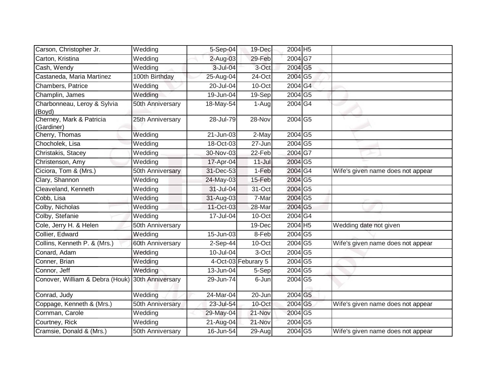| Carson, Christopher Jr.                | Wedding          | 5-Sep-04  | 19-Dec              | 2004 H5 |                                   |
|----------------------------------------|------------------|-----------|---------------------|---------|-----------------------------------|
| Carton, Kristina                       | Wedding          | 2-Aug-03  | 29-Feb              | 2004 G7 |                                   |
| Cash, Wendy                            | Wedding          | 3-Jul-04  | 3-Oct               | 2004 G5 |                                   |
| Castaneda, Maria Martinez              | 100th Birthday   | 25-Aug-04 | 24-Oct              | 2004 G5 |                                   |
| Chambers, Patrice                      | Wedding          | 20-Jul-04 | 10-Oct              | 2004 G4 |                                   |
| Champlin, James                        | Wedding          | 19-Jun-04 | 19-Sep              | 2004 G5 |                                   |
| Charbonneau, Leroy & Sylvia<br>(Boyd)  | 50th Anniversary | 18-May-54 | 1-Aug               | 2004G4  |                                   |
| Cherney, Mark & Patricia<br>(Gardiner) | 25th Anniversary | 28-Jul-79 | 28-Nov              | 2004 G5 |                                   |
| Cherry, Thomas                         | Wedding          | 21-Jun-03 | 2-May               | 2004 G5 |                                   |
| Chocholek, Lisa                        | Wedding          | 18-Oct-03 | 27-Jun              | 2004 G5 |                                   |
| Christakis, Stacey                     | Wedding          | 30-Nov-03 | 22-Feb              | 2004 G7 |                                   |
| Christenson, Amy                       | Wedding          | 17-Apr-04 | $11 -$ Jul          | 2004 G5 |                                   |
| Ciciora, Tom & (Mrs.)                  | 50th Anniversary | 31-Dec-53 | 1-Feb               | 2004 G4 | Wife's given name does not appear |
| Clary, Shannon                         | Wedding          | 24-May-03 | 15-Feb              | 2004 G5 |                                   |
| Cleaveland, Kenneth                    | Wedding          | 31-Jul-04 | 31-Oct              | 2004 G5 |                                   |
| Cobb, Lisa                             | Wedding          | 31-Aug-03 | 7-Mar               | 2004 G5 |                                   |
| Colby, Nicholas                        | Wedding          | 11-Oct-03 | 28-Mar              | 2004 G5 |                                   |
| Colby, Stefanie                        | Wedding          | 17-Jul-04 | 10-Oct              | 2004 G4 |                                   |
| Cole, Jerry H. & Helen                 | 50th Anniversary |           | 19-Dec              | 2004 H5 | Wedding date not given            |
| Collier, Edward                        | Wedding          | 15-Jun-03 | 8-Feb               | 2004 G5 |                                   |
| Collins, Kenneth P. & (Mrs.)           | 60th Anniversary | 2-Sep-44  | 10-Oct              | 2004 G5 | Wife's given name does not appear |
| Conard, Adam                           | Wedding          | 10-Jul-04 | 3-Oct               | 2004 G5 |                                   |
| Conner, Brian                          | Wedding          |           | 4-Oct-03 Feburary 5 | 2004 G5 |                                   |
| Connor, Jeff                           | Wedding          | 13-Jun-04 | 5-Sep               | 2004 G5 |                                   |
| Conover, William & Debra (Houk)        | 30th Anniversary | 29-Jun-74 | 6-Jun               | 2004 G5 |                                   |
| Conrad, Judy                           | Wedding          | 24-Mar-04 | 20-Jun              | 2004 G5 |                                   |
| Coppage, Kenneth & (Mrs.)              | 50th Anniversary | 23-Jul-54 | 10-Oct              | 2004 G5 | Wife's given name does not appear |
| Cornman, Carole                        | Wedding          | 29-May-04 | 21-Nov              | 2004 G5 |                                   |
| Courtney, Rick                         | Wedding          | 21-Aug-04 | 21-Nov              | 2004 G5 |                                   |
| Cramsie, Donald & (Mrs.)               | 50th Anniversary | 16-Jun-54 | $29-Aug$            | 2004 G5 | Wife's given name does not appear |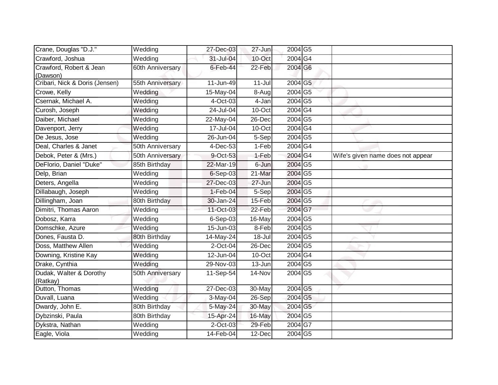| Crane, Douglas "D.J."               | Wedding          | 27-Dec-03     | $27 - Jun$ | 2004 G5         |                                   |
|-------------------------------------|------------------|---------------|------------|-----------------|-----------------------------------|
| Crawford, Joshua                    | Wedding          | 31-Jul-04     | 10-Oct     | 2004 G4         |                                   |
| Crawford, Robert & Jean             | 60th Anniversary | $6$ -Feb-44   | 22-Feb     | 2004 G6         |                                   |
| (Dawson)                            |                  |               |            |                 |                                   |
| Cribari, Nick & Doris (Jensen)      | 55th Anniversary | 11-Jun-49     | $11-Jul$   | 2004 G5         |                                   |
| Crowe, Kelly                        | Wedding          | 15-May-04     | 8-Aug      | 2004 G5         |                                   |
| Csernak, Michael A.                 | Wedding          | 4-Oct-03      | 4-Jan      | 2004 G5         |                                   |
| Curosh, Joseph                      | Wedding          | 24-Jul-04     | 10-Oct     | 2004 G4         |                                   |
| Daiber, Michael                     | Wedding          | 22-May-04     | 26-Dec     | 2004 G5         |                                   |
| Davenport, Jerry                    | Wedding          | 17-Jul-04     | 10-Oct     | 2004 G4         |                                   |
| De Jesus, Jose                      | Wedding          | 26-Jun-04     | 5-Sep      | 2004 G5         |                                   |
| Deal, Charles & Janet               | 50th Anniversary | 4-Dec-53      | 1-Feb      | 2004 G4         |                                   |
| Debok, Peter & (Mrs.)               | 50th Anniversary | 9-Oct-53      | 1-Feb      | 2004 G4         | Wife's given name does not appear |
| DeFlorio, Daniel "Duke"             | 85th Birthday    | 22-Mar-19     | 6-Jun      | 2004 G5         |                                   |
| Delp, Brian                         | Wedding          | $6-Sep-03$    | 21-Mar     | 2004 G5         |                                   |
| Deters, Angella                     | Wedding          | 27-Dec-03     | 27-Jun     | 2004 G5         |                                   |
| Dillabaugh, Joseph                  | Wedding          | $1-Feb-04$    | 5-Sep      | 2004 G5         |                                   |
| Dillingham, Joan                    | 80th Birthday    | 30-Jan-24     | 15-Feb     | 2004 G5         |                                   |
| Dimitri, Thomas Aaron               | Wedding          | 11-Oct-03     | 22-Feb     | 2004 G7         |                                   |
| Dobosz, Karra                       | Wedding          | 6-Sep-03      | 16-May     | 2004 G5         |                                   |
| Domschke, Azure                     | Wedding          | $15 - Jun-03$ | 8-Feb      | 2004 G5         |                                   |
| Dones, Fausta D.                    | 80th Birthday    | 14-May-24     | 18-Jul     | 2004 G5         |                                   |
| Doss, Matthew Allen                 | Wedding          | 2-Oct-04      | 26-Dec     | $2004\sqrt{G5}$ |                                   |
| Downing, Kristine Kay               | Wedding          | 12-Jun-04     | 10-Oct     | 2004 G4         |                                   |
| Drake, Cynthia                      | Wedding          | 29-Nov-03     | 13-Jun     | 2004 G5         |                                   |
| Dudak, Walter & Dorothy<br>(Ratkay) | 50th Anniversary | $11-Sep-54$   | 14-Nov     | 2004 G5         |                                   |
| Dutton, Thomas                      | Wedding          | 27-Dec-03     | 30-May     | $2004$ G5       |                                   |
| Duvall, Luana                       | Wedding          | 3-May-04      | 26-Sep     | 2004 G5         |                                   |
| Dwardy, John E.                     | 80th Birthday    | 5-May-24      | 30-May     | 2004 G5         |                                   |
| Dybzinski, Paula                    | 80th Birthday    | 15-Apr-24     | 16-May     | 2004 G5         |                                   |
| Dykstra, Nathan                     | Wedding          | 2-Oct-03      | 29-Feb     | 2004 G7         |                                   |
| Eagle, Viola                        | Wedding          | 14-Feb-04     | 12-Dec     | 2004 G5         |                                   |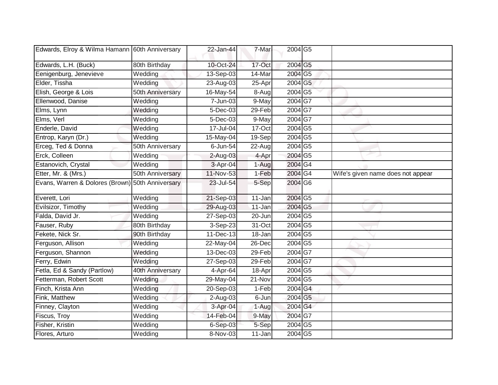| Edwards, Elroy & Wilma Hamann 60th Anniversary   |                  | 22-Jan-44  | 7-Mar  | 2004 G5                    |                                   |
|--------------------------------------------------|------------------|------------|--------|----------------------------|-----------------------------------|
| Edwards, L.H. (Buck)                             | 80th Birthday    | 10-Oct-24  | 17-Oct | 2004 G5                    |                                   |
| Eenigenburg, Jenevieve                           | Wedding          | 13-Sep-03  | 14-Mar | 2004 G5                    |                                   |
| Elder, Tissha                                    | Wedding          | 23-Aug-03  | 25-Apr | 2004 G5                    |                                   |
| Elish, George & Lois                             | 50th Anniversary | 16-May-54  | 8-Aug  | 2004 G5                    |                                   |
| Ellenwood, Danise                                | Wedding          | 7-Jun-03   | 9-May  | 2004G7                     |                                   |
| Elms, Lynn                                       | Wedding          | 5-Dec-03   | 29-Feb | 2004G7                     |                                   |
| Elms, Verl                                       | Wedding          | 5-Dec-03   | 9-May  | 2004 G7                    |                                   |
| Enderle, David                                   | Wedding          | 17-Jul-04  | 17-Oct | 2004 G5                    |                                   |
| Entrop, Karyn (Dr.)                              | Wedding          | 15-May-04  | 19-Sep | 2004 G5                    |                                   |
| Erceg, Ted & Donna                               | 50th Anniversary | 6-Jun-54   | 22-Aug | 2004 G5                    |                                   |
| Erck, Colleen                                    | Wedding          | $2-Aug-03$ | 4-Apr  | 2004 G5                    |                                   |
| Estanovich, Crystal                              | Wedding          | 3-Apr-04   | 1-Aug  | 2004 G4                    |                                   |
| Etter, Mr. & (Mrs.)                              | 50th Anniversary | 11-Nov-53  | 1-Feb  | 2004G4                     | Wife's given name does not appear |
| Evans, Warren & Dolores (Brown) 50th Anniversary |                  | 23-Jul-54  | 5-Sep  | 2004 G6                    |                                   |
| Everett, Lori                                    | Wedding          | 21-Sep-03  | 11-Jan | $2004\overline{\text{G5}}$ |                                   |
| Evilsizor, Timothy                               | Wedding          | 29-Aug-03  | 11-Jan | 2004 G5                    |                                   |
| Falda, David Jr.                                 | Wedding          | 27-Sep-03  | 20-Jun | 2004 G5                    |                                   |
| Fauser, Ruby                                     | 80th Birthday    | 3-Sep-23   | 31-Oct | 2004 G5                    |                                   |
| Fekete, Nick Sr.                                 | 90th Birthday    | 11-Dec-13  | 18-Jan | 2004 G5                    |                                   |
| Ferguson, Allison                                | Wedding          | 22-May-04  | 26-Dec | 2004 G5                    |                                   |
| Ferguson, Shannon                                | Wedding          | 13-Dec-03  | 29-Feb | 2004G7                     |                                   |
| Ferry, Edwin                                     | Wedding          | 27-Sep-03  | 29-Feb | 2004G7                     |                                   |
| Fetla, Ed & Sandy (Partlow)                      | 40th Anniversary | 4-Apr-64   | 18-Apr | 2004 G5                    |                                   |
| Fetterman, Robert Scott                          | Wedding          | 29-May-04  | 21-Nov | 2004 G5                    |                                   |
| Finch, Krista Ann                                | Wedding          | 20-Sep-03  | 1-Feb  | 2004 G4                    |                                   |
| Fink, Matthew                                    | Wedding          | $2-Auq-03$ | 6-Jun  | 2004 G5                    |                                   |
| Finney, Clayton                                  | Wedding          | 3-Apr-04   | 1-Aug  | 2004 G4                    |                                   |
| Fiscus, Troy                                     | Wedding          | 14-Feb-04  | 9-May  | 2004 G7                    |                                   |
| Fisher, Kristin                                  | Wedding          | $6-Sep-03$ | 5-Sep  | 2004G5                     |                                   |
| Flores, Arturo                                   | Wedding          | 8-Nov-03   | 11-Jan | 2004 G5                    |                                   |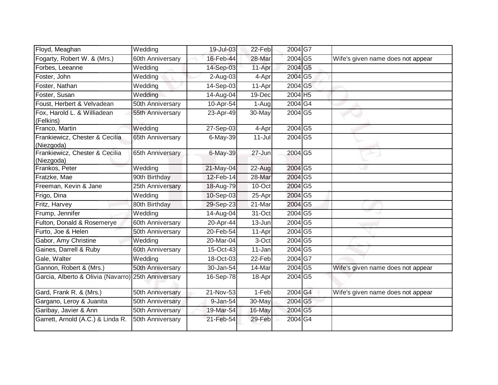| Floyd, Meaghan                                      | Wedding          | 19-Jul-03    | 22-Feb              | 2004G7                     |                                   |
|-----------------------------------------------------|------------------|--------------|---------------------|----------------------------|-----------------------------------|
| Fogarty, Robert W. & (Mrs.)                         | 60th Anniversary | 16-Feb-44    | 28-Mar              | 2004 G5                    | Wife's given name does not appear |
| Forbes, Leeanne                                     | Wedding          | 14-Sep-03    | 11-Apr              | 2004 G5                    |                                   |
| Foster, John                                        | Wedding          | 2-Aug-03     | 4-Apr               | 2004 G5                    |                                   |
| Foster, Nathan                                      | Wedding          | 14-Sep-03    | 11-Apr              | 2004 G5                    |                                   |
| Foster, Susan                                       | Wedding          | 14-Aug-04    | 19-Dec              | 2004 H5                    |                                   |
| Foust, Herbert & Velvadean                          | 50th Anniversary | 10-Apr-54    | $\overline{1}$ -Aug | 2004G4                     |                                   |
| Fox, Harold L. & Williadean<br>(Felkins)            | 55th Anniversary | 23-Apr-49    | 30-May              | 2004 G5                    |                                   |
| Franco, Martin                                      | Wedding          | 27-Sep-03    | 4-Apr               | $2004\overline{\text{G5}}$ |                                   |
| Frankiewicz, Chester & Cecilia<br>(Niezgoda)        | 65th Anniversary | 6-May-39     | $11 -$ Jul          | 2004 G5                    |                                   |
| Frankiewicz, Chester & Cecilia<br>(Niezgoda)        | 65th Anniversary | 6-May-39     | 27-Jun              | 2004 G5                    |                                   |
| Frankos, Peter                                      | Wedding          | 21-May-04    | 22-Aug              | 2004 G5                    |                                   |
| Fratzke, Mae                                        | 90th Birthday    | $12$ -Feb-14 | 28-Mar              | 2004 G5                    |                                   |
| Freeman, Kevin & Jane                               | 25th Anniversary | 18-Aug-79    | 10-Oct              | 2004 G5                    |                                   |
| Frigo, Dina                                         | Wedding          | 10-Sep-03    | 25-Apr              | 2004 G5                    |                                   |
| Fritz, Harvey                                       | 80th Birthday    | 29-Sep-23    | 21-Mar              | 2004 G5                    |                                   |
| Frump, Jennifer                                     | Wedding          | 14-Aug-04    | 31-Oct              | 2004 G5                    |                                   |
| Fulton, Donald & Rosemerye                          | 60th Anniversary | 20-Apr-44    | 13-Jun              | 2004 G5                    |                                   |
| Furto, Joe & Helen                                  | 50th Anniversary | 20-Feb-54    | 11-Apr              | 2004 G5                    |                                   |
| Gabor, Amy Christine                                | Wedding          | 20-Mar-04    | 3-Oct               | 2004 G5                    |                                   |
| Gaines, Darrell & Ruby                              | 60th Anniversary | 15-Oct-43    | 11-Jan              | 2004 G5                    |                                   |
| Gale, Walter                                        | Wedding          | 18-Oct-03    | 22-Feb              | 2004G7                     |                                   |
| Gannon, Robert & (Mrs.)                             | 50th Anniversary | 30-Jan-54    | 14-Mar              | 2004 G5                    | Wife's given name does not appear |
| Garcia, Alberto & Olivia (Navarro) 25th Anniversary |                  | 16-Sep-78    | 18-Apr              | 2004 G5                    |                                   |
| Gard, Frank R. & (Mrs.)                             | 50th Anniversary | 21-Nov-53    | 1-Feb               | 2004 G4                    | Wife's given name does not appear |
| Gargano, Leroy & Juanita                            | 50th Anniversary | 9-Jan-54     | 30-May              | 2004 G5                    |                                   |
| Garibay, Javier & Ann                               | 50th Anniversary | 19-Mar-54    | 16-May              | 2004 G5                    |                                   |
| Garrett, Arnold (A.C.) & Linda R.                   | 50th Anniversary | 21-Feb-54    | 29-Feb              | 2004 G4                    |                                   |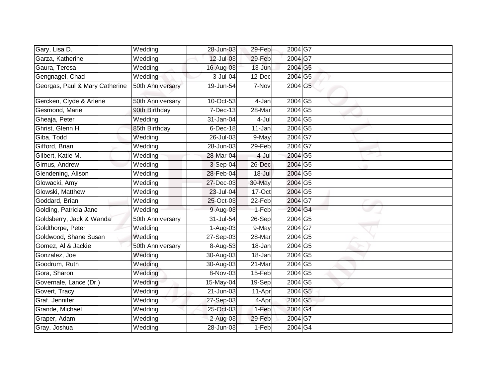| Gary, Lisa D.                  | Wedding          | 28-Jun-03   | 29-Feb     | 2004G7                     |  |
|--------------------------------|------------------|-------------|------------|----------------------------|--|
| Garza, Katherine               | Wedding          | 12-Jul-03   | 29-Feb     | 2004 G7                    |  |
| Gaura, Teresa                  | Wedding          | 16-Aug-03   | 13-Jun     | 2004 G5                    |  |
| Gengnagel, Chad                | Wedding          | 3-Jul-04    | 12-Dec     | 2004 G5                    |  |
| Georgas, Paul & Mary Catherine | 50th Anniversary | 19-Jun-54   | 7-Nov      | 2004 G5                    |  |
| Gercken, Clyde & Arlene        | 50th Anniversary | 10-Oct-53   | $4-Jan$    | $2004\overline{\text{G5}}$ |  |
| Gesmond, Marie                 | 90th Birthday    | 7-Dec-13    | 28-Mar     | 2004 G5                    |  |
| Gheaja, Peter                  | Wedding          | 31-Jan-04   | 4-Jul      | 2004 G5                    |  |
| Ghrist, Glenn H.               | 85th Birthday    | $6$ -Dec-18 | 11-Jan     | 2004 G5                    |  |
| Giba, Todd                     | Wedding          | 26-Jul-03   | 9-May      | 2004G7                     |  |
| Gifford, Brian                 | Wedding          | 28-Jun-03   | $29$ -Feb  | 2004G7                     |  |
| Gilbert, Katie M.              | Wedding          | 28-Mar-04   | 4-Jul      | 2004 G5                    |  |
| Girnus, Andrew                 | Wedding          | 3-Sep-04    | 26-Dec     | 2004 G5                    |  |
| Glendening, Alison             | Wedding          | 28-Feb-04   | $18 -$ Jul | 2004 G5                    |  |
| Glowacki, Amy                  | Wedding          | 27-Dec-03   | 30-May     | 2004 G5                    |  |
| Glowski, Matthew               | Wedding          | 23-Jul-04   | 17-Oct     | 2004 G5                    |  |
| Goddard, Brian                 | Wedding          | 25-Oct-03   | 22-Feb     | 2004 G7                    |  |
| Golding, Patricia Jane         | Wedding          | 9-Aug-03    | 1-Feb      | 2004 G4                    |  |
| Goldsberry, Jack & Wanda       | 50th Anniversary | 31-Jul-54   | 26-Sep     | 2004 G5                    |  |
| Goldthorpe, Peter              | Wedding          | 1-Aug-03    | 9-May      | $2004\overline{\text{G}7}$ |  |
| Goldwood, Shane Susan          | Wedding          | 27-Sep-03   | 28-Mar     | 2004 G5                    |  |
| Gomez, Al & Jackie             | 50th Anniversary | 8-Aug-53    | 18-Jan     | 2004 G5                    |  |
| Gonzalez, Joe                  | Wedding          | 30-Aug-03   | 18-Jan     | 2004 G5                    |  |
| Goodrum, Ruth                  | Wedding          | 30-Aug-03   | 21-Mar     | 2004 G5                    |  |
| Gora, Sharon                   | Wedding          | 8-Nov-03    | 15-Feb     | 2004 G5                    |  |
| Governale, Lance (Dr.)         | Wedding          | 15-May-04   | $19-Sep$   | $2004\overline{\text{G5}}$ |  |
| Govert, Tracy                  | Wedding          | 21-Jun-03   | 11-Apr     | 2004 G5                    |  |
| Graf, Jennifer                 | Wedding          | 27-Sep-03   | 4-Apr      | 2004 G5                    |  |
| Grande, Michael                | Wedding          | 25-Oct-03   | 1-Feb      | 2004 G4                    |  |
| Graper, Adam                   | Wedding          | 2-Aug-03    | 29-Feb     | 2004 G7                    |  |
| Gray, Joshua                   | Wedding          | 28-Jun-03   | 1-Feb      | 2004G4                     |  |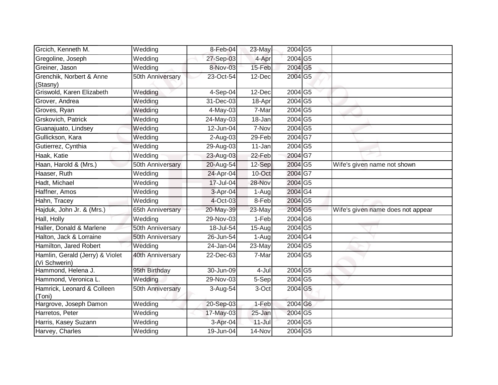| Grcich, Kenneth M.                               | Wedding          | 8-Feb-04                | 23-May     | 2004 G5                    |                                   |
|--------------------------------------------------|------------------|-------------------------|------------|----------------------------|-----------------------------------|
| Gregoline, Joseph                                | Wedding          | 27-Sep-03               | 4-Apr      | 2004 G5                    |                                   |
| Greiner, Jason                                   | Wedding          | 8-Nov-03                | 15-Feb     | 2004 G5                    |                                   |
| Grenchik, Norbert & Anne<br>(Stasny)             | 50th Anniversary | 23-Oct-54               | 12-Dec     | 2004 G5                    |                                   |
| Griswold, Karen Elizabeth                        | Wedding          | 4-Sep-04                | 12-Dec     | 2004 G5                    |                                   |
| Grover, Andrea                                   | Wedding          | $\overline{31}$ -Dec-03 | 18-Apr     | 2004 G5                    |                                   |
| Groves, Ryan                                     | Wedding          | 4-May-03                | 7-Mar      | 2004 G5                    |                                   |
| Grskovich, Patrick                               | Wedding          | 24-May-03               | 18-Jan     | 2004 G5                    |                                   |
| Guanajuato, Lindsey                              | Wedding          | 12-Jun-04               | 7-Nov      | 2004 G5                    |                                   |
| Gullickson, Kara                                 | Wedding          | $2-Aug-03$              | 29-Feb     | 2004 G7                    |                                   |
| Gutierrez, Cynthia                               | Wedding          | 29-Aug-03               | 11-Jan     | 2004 G5                    |                                   |
| Haak, Katie                                      | Wedding          | 23-Aug-03               | 22-Feb     | 2004 G7                    |                                   |
| Haan, Harold & (Mrs.)                            | 50th Anniversary | 20-Aug-54               | 12-Sep     | 2004 G5                    | Wife's given name not shown       |
| Haaser, Ruth                                     | Wedding          | 24-Apr-04               | 10-Oct     | 2004 G7                    |                                   |
| Hadt, Michael                                    | Wedding          | 17-Jul-04               | 28-Nov     | 2004 G5                    |                                   |
| Haffner, Amos                                    | Wedding          | 3-Apr-04                | 1-Aug      | 2004 G4                    |                                   |
| Hahn, Tracey                                     | Wedding          | 4-Oct-03                | 8-Feb      | 2004 G5                    |                                   |
| Hajduk, John Jr. & (Mrs.)                        | 65th Anniversary | 20-May-39               | 23-May     | 2004 G5                    | Wife's given name does not appear |
| Hall, Holly                                      | Wedding          | 29-Nov-03               | 1-Feb      | $2004$ G6                  |                                   |
| Haller, Donald & Marlene                         | 50th Anniversary | 18-Jul-54               | 15-Aug     | 2004 G5                    |                                   |
| Halton, Jack & Lorraine                          | 50th Anniversary | 26-Jun-54               | 1-Aug      | 2004G4                     |                                   |
| Hamilton, Jared Robert                           | Wedding          | 24-Jan-04               | 23-May     | 2004 G5                    |                                   |
| Hamlin, Gerald (Jerry) & Violet<br>(Vi Schwerin) | 40th Anniversary | 22-Dec-63               | 7-Mar      | 2004 G5                    |                                   |
| Hammond, Helena J.                               | 95th Birthday    | 30-Jun-09               | 4-Jul      | $2004\overline{\text{G5}}$ |                                   |
| Hammond, Veronica L.                             | Wedding          | 29-Nov-03               | 5-Sep      | 2004 G5                    |                                   |
| Hamrick, Leonard & Colleen<br>(Toni)             | 50th Anniversary | 3-Aug-54                | 3-Oct      | 2004 G5                    |                                   |
| Hargrove, Joseph Damon                           | Wedding          | 20-Sep-03               | 1-Feb      | 2004 G6                    |                                   |
| Harretos, Peter                                  | Wedding          | 17-May-03               | 25-Jan     | 2004 G5                    |                                   |
| Harris, Kasey Suzann                             | Wedding          | 3-Apr-04                | $11 -$ Jul | 2004 G5                    |                                   |
| Harvey, Charles                                  | Wedding          | $19 - Jun-04$           | 14-Nov     | 2004 G5                    |                                   |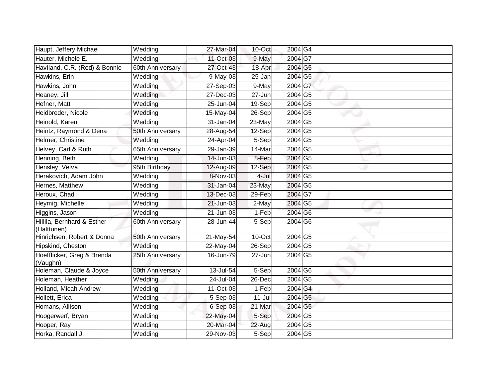| Haupt, Jeffery Michael                    | Wedding               | 27-Mar-04     | 10-Oct     | 2004G4                     |  |
|-------------------------------------------|-----------------------|---------------|------------|----------------------------|--|
| Hauter, Michele E.                        | Wedding               | 11-Oct-03     | 9-May      | 2004 G7                    |  |
| Haviland, C.R. (Red) & Bonnie             | 60th Anniversary      | 27-Oct-43     | 18-Apr     | 2004 G5                    |  |
| Hawkins, Erin                             | Wedding               | 9-May-03      | 25-Jan     | 2004 G5                    |  |
| Hawkins, John                             | $\overline{W}$ edding | 27-Sep-03     | $9-May$    | 2004 G7                    |  |
| Heaney, Jill                              | Wedding               | 27-Dec-03     | 27-Jun     | 2004 G5                    |  |
| Hefner, Matt                              | Wedding               | 25-Jun-04     | $19-Sep$   | $2004\overline{\text{G5}}$ |  |
| Heidbreder, Nicole                        | Wedding               | 15-May-04     | 26-Sep     | 2004 G5                    |  |
| Heinold, Karen                            | Wedding               | 31-Jan-04     | 23-May     | 2004 G5                    |  |
| Heintz, Raymond & Dena                    | 50th Anniversary      | 28-Aug-54     | 12-Sep     | 2004 G5                    |  |
| Helmer, Christine                         | Wedding               | 24-Apr-04     | 5-Sep      | 2004 G5                    |  |
| Helvey, Carl & Ruth                       | 65th Anniversary      | $29 - Jan-39$ | 14-Mar     | 2004 G5                    |  |
| Henning, Beth                             | Wedding               | 14-Jun-03     | 8-Feb      | 2004 G5                    |  |
| Hensley, Velva                            | 95th Birthday         | 12-Aug-09     | 12-Sep     | 2004 G5                    |  |
| Herakovich, Adam John                     | Wedding               | 8-Nov-03      | 4-Jul      | 2004 G5                    |  |
| Hernes, Matthew                           | Wedding               | 31-Jan-04     | 23-May     | 2004 G5                    |  |
| Heroux, Chad                              | Wedding               | 13-Dec-03     | 29-Feb     | 2004 G7                    |  |
| Heymig, Michelle                          | Wedding               | 21-Jun-03     | 2-May      | 2004 G5                    |  |
| Higgins, Jason                            | Wedding               | 21-Jun-03     | 1-Feb      | 2004 G6                    |  |
| Hillila, Bernhard & Esther<br>(Halttunen) | 60th Anniversary      | 28-Jun-44     | 5-Sep      | 2004 G6                    |  |
| Hinrichsen, Robert & Donna                | 50th Anniversary      | 21-May-54     | 10-Oct     | $2004\overline{\text{G5}}$ |  |
| Hipskind, Cheston                         | Wedding               | 22-May-04     | 26-Sep     | 2004 G5                    |  |
| Hoefflicker, Greg & Brenda<br>(Vaughn)    | 25th Anniversary      | 16-Jun-79     | 27-Jun     | 2004 G5                    |  |
| Holeman, Claude & Joyce                   | 50th Anniversary      | 13-Jul-54     | 5-Sep      | 2004 G6                    |  |
| Holeman, Heather                          | Wedding               | 24-Jul-04     | 26-Dec     | 2004 G5                    |  |
| Holland, Micah Andrew                     | Wedding               | 11-Oct-03     | 1-Feb      | 2004 G4                    |  |
| Hollett, Erica                            | Wedding               | 5-Sep-03      | $11 -$ Jul | 2004 G5                    |  |
| Homans, Allison                           | Wedding               | 6-Sep-03      | 21-Mar     | 2004 G5                    |  |
| Hoogerwerf, Bryan                         | Wedding               | 22-May-04     | 5-Sep      | 2004 G5                    |  |
| Hooper, Ray                               | Wedding               | 20-Mar-04     | 22-Aug     | 2004 G5                    |  |
| Horka, Randall J.                         | Wedding               | 29-Nov-03     | $5-Sep$    | 2004 G5                    |  |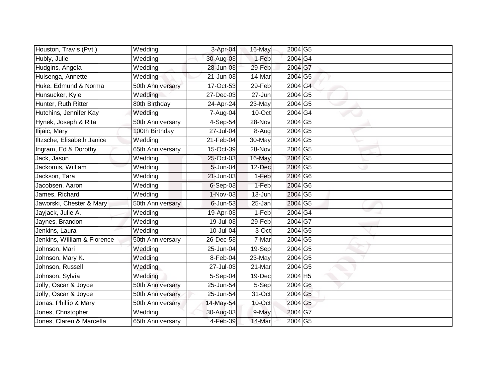| Houston, Travis (Pvt.)      | Wedding          | 3-Apr-04                | 16-May  | 2004 G5                    |  |
|-----------------------------|------------------|-------------------------|---------|----------------------------|--|
| Hubly, Julie                | Wedding          | 30-Aug-03               | 1-Feb   | 2004 G4                    |  |
| Hudgins, Angela             | Wedding          | 28-Jun-03               | 29-Feb  | 2004 G7                    |  |
| Huisenga, Annette           | Wedding          | 21-Jun-03               | 14-Mar  | 2004 G5                    |  |
| Huke, Edmund & Norma        | 50th Anniversary | 17-Oct-53               | 29-Feb  | 2004 G4                    |  |
| Hunsucker, Kyle             | Wedding          | 27-Dec-03               | 27-Jun  | 2004 G5                    |  |
| Hunter, Ruth Ritter         | 80th Birthday    | 24-Apr-24               | 23-May  | 2004 G5                    |  |
| Hutchins, Jennifer Kay      | Wedding          | 7-Aug-04                | 10-Oct  | 2004G4                     |  |
| Hynek, Joseph & Rita        | 50th Anniversary | 4-Sep-54                | 28-Nov  | 2004 G5                    |  |
| Ilijaic, Mary               | 100th Birthday   | 27-Jul-04               | 8-Aug   | 2004 G5                    |  |
| Iltzsche, Elisabeth Janice  | Wedding          | 21-Feb-04               | 30-May  | 2004 G5                    |  |
| Ingram, Ed & Dorothy        | 65th Anniversary | 15-Oct-39               | 28-Nov  | 2004 G5                    |  |
| Jack, Jason                 | Wedding          | 25-Oct-03               | 16-May  | 2004 G5                    |  |
| Jackomis, William           | Wedding          | 5-Jun-04                | 12-Dec  | 2004 G5                    |  |
| Jackson, Tara               | Wedding          | $\overline{21}$ -Jun-03 | $1-Feb$ | 2004 G6                    |  |
| Jacobsen, Aaron             | Wedding          | $6-Sep-03$              | 1-Feb   | 2004 G6                    |  |
| James, Richard              | Wedding          | $1-Nov-03$              | 13-Jun  | 2004 G5                    |  |
| Jaworski, Chester & Mary    | 50th Anniversary | 6-Jun-53                | 25-Jan  | 2004 G5                    |  |
| Jayjack, Julie A.           | Wedding          | 19-Apr-03               | 1-Feb   | 2004 G4                    |  |
| Jaynes, Brandon             | Wedding          | 19-Jul-03               | 29-Feb  | 2004 G7                    |  |
| Jenkins, Laura              | Wedding          | 10-Jul-04               | 3-Oct   | 2004 G5                    |  |
| Jenkins, William & Florence | 50th Anniversary | 26-Dec-53               | 7-Mar   | 2004 G5                    |  |
| Johnson, Mari               | Wedding          | 25-Jun-04               | 19-Sep  | 2004 G5                    |  |
| Johnson, Mary K.            | Wedding          | 8-Feb-04                | 23-May  | 2004 G5                    |  |
| Johnson, Russell            | Wedding          | 27-Jul-03               | 21-Mar  | 2004 G5                    |  |
| Johnson, Sylvia             | Wedding          | 5-Sep-04                | 19-Dec  | 2004 H5                    |  |
| Jolly, Oscar & Joyce        | 50th Anniversary | 25-Jun-54               | $5-Sep$ | 2004 G6                    |  |
| Jolly, Oscar & Joyce        | 50th Anniversary | 25-Jun-54               | 31-Oct  | 2004 G5                    |  |
| Jonas, Phillip & Mary       | 50th Anniversary | 14-May-54               | 10-Oct  | 2004 G5                    |  |
| Jones, Christopher          | Wedding          | 30-Aug-03               | 9-May   | 2004 G7                    |  |
| Jones, Claren & Marcella    | 65th Anniversary | 4-Feb-39                | 14-Mar  | $2004\overline{\text{G5}}$ |  |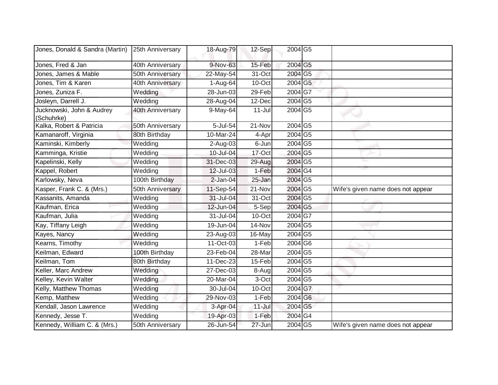| Jones, Donald & Sandra (Martin)         | 25th Anniversary | 18-Aug-79               | $12-Sep$   | 2004 G5            |                                   |
|-----------------------------------------|------------------|-------------------------|------------|--------------------|-----------------------------------|
| Jones, Fred & Jan                       | 40th Anniversary | 9-Nov-63                | 15-Feb     | 2004 G5            |                                   |
| Jones, James & Mable                    | 50th Anniversary | 22-May-54               | 31-Oct     | 2004 G5            |                                   |
| Jones, Tim & Karen                      | 40th Anniversary | 1-Aug-64                | 10-Oct     | 2004 G5            |                                   |
| Jones, Zuniza F.                        | Wedding          | 28-Jun-03               | 29-Feb     | 2004G7             |                                   |
| Josleyn, Darrell J.                     | Wedding          | 28-Aug-04               | 12-Dec     | 2004 G5            |                                   |
| Jucknowski, John & Audrey<br>(Schuhrke) | 40th Anniversary | 9-May-64                | $11 -$ Jul | 2004 G5            |                                   |
| Kalka, Robert & Patricia                | 50th Anniversary | 5-Jul-54                | 21-Nov     | 2004 G5            |                                   |
| Kamanaroff, Virginia                    | 80th Birthday    | 10-Mar-24               | 4-Apr      | 2004 G5            |                                   |
| Kaminski, Kimberly                      | Wedding          | 2-Aug-03                | 6-Jun      | 2004 G5            |                                   |
| Kamminga, Kristie                       | Wedding          | 10-Jul-04               | 17-Oct     | 2004 G5            |                                   |
| Kapelinski, Kelly                       | Wedding          | 31-Dec-03               | 29-Aug     | 2004 G5            |                                   |
| Kappel, Robert                          | Wedding          | 12-Jul-03               | 1-Feb      | 2004 G4            |                                   |
| Karlowsky, Neva                         | 100th Birthday   | $2$ -Jan-04             | 25-Jan     | 2004 G5            |                                   |
| Kasper, Frank C. & (Mrs.)               | 50th Anniversary | 11-Sep-54               | 21-Nov     | 2004 G5            | Wife's given name does not appear |
| Kassanits, Amanda                       | Wedding          | 31-Jul-04               | 31-Oct     | 2004 G5            |                                   |
| Kaufman, Erica                          | Wedding          | 12-Jun-04               | 5-Sep      | 2004 G5            |                                   |
| Kaufman, Julia                          | Wedding          | 31-Jul-04               | $10$ -Oct  | 2004 G7            |                                   |
| Kay, Tiffany Leigh                      | Wedding          | 19-Jun-04               | 14-Nov     | 2004 G5            |                                   |
| Kayes, Nancy                            | Wedding          | 23-Aug-03               | 16-May     | 2004 G5            |                                   |
| Kearns, Timothy                         | Wedding          | $\overline{11}$ -Oct-03 | 1-Feb      | 2004 G6            |                                   |
| Keilman, Edward                         | 100th Birthday   | 23-Feb-04               | 28-Mar     | 2004 G5            |                                   |
| Keilman, Tom                            | 80th Birthday    | 11-Dec-23               | 15-Feb     | $2004\overline{G}$ |                                   |
| Keller, Marc Andrew                     | Wedding          | 27-Dec-03               | 8-Augl     | 2004 G5            |                                   |
| Kelley, Kevin Walter                    | Wedding          | 20-Mar-04               | 3-Oct      | 2004 G5            |                                   |
| Kelly, Matthew Thomas                   | Wedding          | 30-Jul-04               | 10-Oct     | 2004 G7            |                                   |
| Kemp, Matthew                           | Wedding          | 29-Nov-03               | 1-Feb      | 2004 G6            |                                   |
| Kendall, Jason Lawrence                 | Wedding          | 3-Apr-04                | $11 -$ Jul | 2004 G5            |                                   |
| Kennedy, Jesse T.                       | Wedding          | 19-Apr-03               | 1-Feb      | 2004 G4            |                                   |
| Kennedy, William C. & (Mrs.)            | 50th Anniversary | 26-Jun-54               | 27-Jun     | 2004 G5            | Wife's given name does not appear |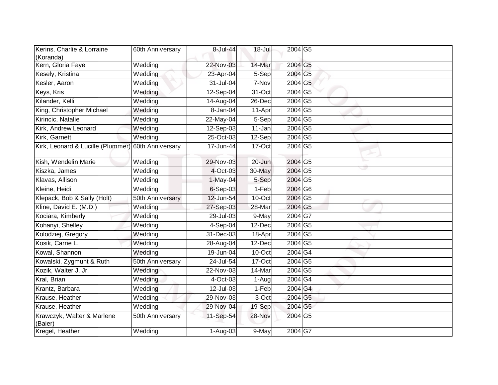| Kerins, Charlie & Lorraine                         | 60th Anniversary | 8-Jul-44               | $18 -$ Jul | 2004 G5                    |  |
|----------------------------------------------------|------------------|------------------------|------------|----------------------------|--|
| (Koranda)                                          |                  |                        |            |                            |  |
| Kern, Gloria Faye                                  | Wedding          | 22-Nov-03              | 14-Mar     | 2004 G5                    |  |
| Kesely, Kristina                                   | Wedding          | 23-Apr-04              | 5-Sep      | 2004 G5                    |  |
| Kesler, Aaron                                      | Wedding          | 31-Jul-04              | 7-Nov      | 2004 G5                    |  |
| Keys, Kris                                         | Wedding          | 12-Sep-04              | 31-Oct     | 2004 G5                    |  |
| Kilander, Kelli                                    | Wedding          | 14-Aug-04              | 26-Dec     | 2004G5                     |  |
| King, Christopher Michael                          | Wedding          | 8-Jan-04               | 11-Apr     | 2004 G5                    |  |
| Kirincic, Natalie                                  | Wedding          | 22-May-04              | 5-Sep      | 2004 G5                    |  |
| Kirk, Andrew Leonard                               | Wedding          | 12-Sep-03              | 11-Jan     | $2004\overline{\text{G5}}$ |  |
| Kirk, Garnett                                      | Wedding          | 25-Oct-03              | 12-Sep     | 2004 G5                    |  |
| Kirk, Leonard & Lucille (Plummer) 60th Anniversary |                  | 17-Jun-44              | 17-Oct     | 2004 G5                    |  |
| Kish, Wendelin Marie                               | Wedding          | 29-Nov-03              | 20-Jun     | $2004\overline{\text{G5}}$ |  |
| Kiszka, James                                      | Wedding          | 4-Oct-03               | 30-May     | 2004 G5                    |  |
| Klavas, Allison                                    | Wedding          | $1-May-04$             | 5-Sep      | 2004 G5                    |  |
| Kleine, Heidi                                      | Wedding          | 6-Sep-03               | 1-Feb      | 2004 G6                    |  |
| Klepack, Bob & Sally (Holt)                        | 50th Anniversary | 12-Jun-54              | 10-Oct     | $2004\overline{\text{G5}}$ |  |
| Kline, David E. (M.D.)                             | Wedding          | 27-Sep-03              | 28-Mar     | $2004\overline{\text{G5}}$ |  |
| Kociara, Kimberly                                  | Wedding          | 29-Jul-03              | 9-May      | 2004 G7                    |  |
| Kohanyi, Shelley                                   | Wedding          | 4-Sep-04               | 12-Dec     | $2004\overline{\text{G5}}$ |  |
| Kolodziej, Gregory                                 | Wedding          | 31-Dec-03              | 18-Apr     | 2004 G5                    |  |
| Kosik, Carrie L.                                   | Wedding          | 28-Aug-04              | 12-Dec     | 2004 G5                    |  |
| Kowal, Shannon                                     | Wedding          | 19-Jun-04              | 10-Oct     | 2004G4                     |  |
| Kowalski, Zygmunt & Ruth                           | 50th Anniversary | 24-Jul-54              | 17-Oct     | $2004\overline{\text{G5}}$ |  |
| Kozik, Walter J. Jr.                               | Wedding          | 22-Nov-03              | 14-Mar     | $2004\overline{\text{G5}}$ |  |
| Kral, Brian                                        | Wedding          | 4-Oct-03               | 1-Aug      | 2004 G4                    |  |
| Krantz, Barbara                                    | Wedding          | 12-Jul-03              | 1-Feb      | $2004\overline{\text{G4}}$ |  |
| Krause, Heather                                    | Wedding          | 29-Nov-03              | 3-Oct      | 2004 G5                    |  |
| Krause, Heather                                    | Wedding          | 29-Nov-04              | 19-Sep     | 2004 G5                    |  |
| Krawczyk, Walter & Marlene<br>(Baier)              | 50th Anniversary | 11-Sep-54              | 28-Nov     | 2004 G5                    |  |
| Kregel, Heather                                    | Wedding          | $\overline{1}$ -Aug-03 | $9-May$    | 2004 G7                    |  |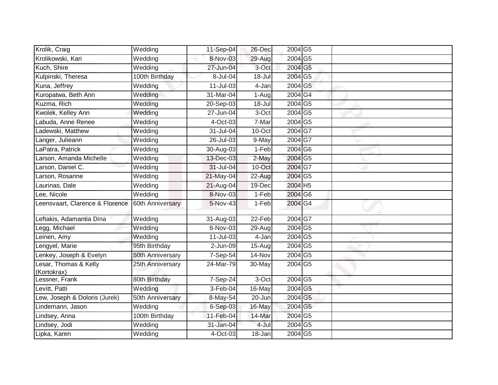| Krolik, Craig                        | Wedding          | 11-Sep-04   | 26-Dec   | 2004 G5                    |  |
|--------------------------------------|------------------|-------------|----------|----------------------------|--|
| Krolikowski, Kari                    | Wedding          | 8-Nov-03    | 29-Aug   | 2004 G5                    |  |
| Kuch, Shire                          | Wedding          | 27-Jun-04   | 3-Oct    | 2004 G5                    |  |
| Kulpinski, Theresa                   | 100th Birthday   | 8-Jul-04    | 18-Jul   | 2004 G5                    |  |
| Kuna, Jeffrey                        | Wedding          | 11-Jul-03   | 4-Jan    | 2004 G5                    |  |
| Kuropatwa, Beth Ann                  | Wedding          | 31-Mar-04   | 1-Aug    | $2004\overline{\text{G4}}$ |  |
| Kuzma, Rich                          | Wedding          | 20-Sep-03   | 18-Jul   | 2004 G5                    |  |
| Kwolek, Kelley Ann                   | Wedding          | 27-Jun-04   | 3-Oct    | 2004 G5                    |  |
| Labuda, Anne Renee                   | Wedding          | 4-Oct-03    | 7-Mar    | 2004 G5                    |  |
| Ladewski, Matthew                    | Wedding          | 31-Jul-04   | 10-Oct   | $2004\overline{\text{G}7}$ |  |
| Langer, Julieann                     | Wedding          | 26-Jul-03   | 9-May    | 2004 G7                    |  |
| LaPatra, Patrick                     | Wedding          | 30-Aug-03   | $1-Feb$  | 2004 G6                    |  |
| Larson, Amanda Michelle              | Wedding          | 13-Dec-03   | 2-May    | 2004 G5                    |  |
| Larson, Daniel C.                    | Wedding          | 31-Jul-04   | 10-Oct   | 2004 G7                    |  |
| Larson, Rosanne                      | Wedding          | 21-May-04   | $22-Aug$ | 2004 G5                    |  |
| Laurinas, Dale                       | Wedding          | 21-Aug-04   | 19-Dec   | 2004 H5                    |  |
| Lee, Nicole                          | Wedding          | 8-Nov-03    | $1-Feb$  | 2004 G6                    |  |
| Leensvaart, Clarence & Florence      | 60th Anniversary | 5-Nov-43    | $1-Feb$  | 2004 G4                    |  |
| Leftakis, Adamantia Dina             | Wedding          | 31-Aug-03   | 22-Feb   | 2004 G7                    |  |
| Legg, Michael                        | Wedding          | 8-Nov-03    | 29-Aug   | 2004 G5                    |  |
| Leinen, Amy                          | Wedding          | 11-Jul-03   | 4-Jan    | 2004 G5                    |  |
| Lengyel, Marie                       | 95th Birthday    | 2-Jun-09    | 15-Aug   | $2004\overline{\text{G5}}$ |  |
| Lenkey, Joseph & Evelyn              | 50th Anniversary | 7-Sep-54    | 14-Nov   | 2004 G5                    |  |
| Lesar, Thomas & Kelly<br>(Kortokrax) | 25th Anniversary | 24-Mar-79   | 30-May   | 2004 G5                    |  |
| Lessner, Frank                       | 80th Birthday    | $7-$ Sep-24 | 3-Oct    | 2004 G5                    |  |
| Levitt, Patti                        | Wedding          | 3-Feb-04    | 16-May   | 2004 G5                    |  |
| Lew, Joseph & Doloris (Jurek)        | 50th Anniversary | 8-May-54    | 20-Jun   | 2004 G5                    |  |
| Lindemann, Jason                     | Wedding          | 6-Sep-03    | 16-May   | 2004 G5                    |  |
| Lindsey, Anna                        | 100th Birthday   | 11-Feb-04   | 14-Mar   | 2004 G5                    |  |
| Lindsey, Jodi                        | Wedding          | 31-Jan-04   | 4-Jul    | 2004 G5                    |  |
| Lipka, Karen                         | Wedding          | 4-Oct-03    | 18-Jan   | 2004 G5                    |  |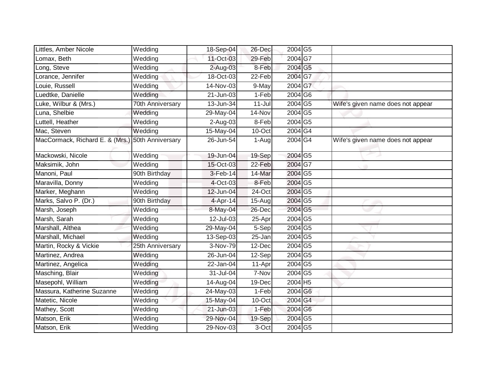| Littles, Amber Nicole                            | Wedding               | 18-Sep-04   | 26-Dec     | 2004 G5                    |                                   |
|--------------------------------------------------|-----------------------|-------------|------------|----------------------------|-----------------------------------|
| Lomax, Beth                                      | Wedding               | 11-Oct-03   | 29-Feb     | 2004 G7                    |                                   |
| Long, Steve                                      | Wedding               | 2-Aug-03    | 8-Feb      | 2004 G5                    |                                   |
| Lorance, Jennifer                                | Wedding               | 18-Oct-03   | 22-Feb     | 2004 G7                    |                                   |
| Louie, Russell                                   | Wedding               | 14-Nov-03   | 9-May      | 2004 G7                    |                                   |
| Luedtke, Danielle                                | Wedding               | 21-Jun-03   | 1-Feb      | 2004 G6                    |                                   |
| Luke, Wilbur & (Mrs.)                            | 70th Anniversary      | 13-Jun-34   | $11 -$ Jul | 2004 G5                    | Wife's given name does not appear |
| Luna, Shelbie                                    | Wedding               | 29-May-04   | 14-Nov     | 2004 G5                    |                                   |
| Luttell, Heather                                 | Wedding               | 2-Aug-03    | 8-Feb      | 2004 G5                    |                                   |
| Mac, Steven                                      | Wedding               | $15-May-04$ | 10-Oct     | 2004 G4                    |                                   |
| MacCormack, Richard E. & (Mrs.) 50th Anniversary |                       | 26-Jun-54   | 1-Aug      | 2004G4                     | Wife's given name does not appear |
| Mackowski, Nicole                                | Wedding               | 19-Jun-04   | 19-Sep     | 2004 G5                    |                                   |
| Maksimik, John                                   | Wedding               | 15-Oct-03   | 22-Feb     | 2004 G7                    |                                   |
| Manoni, Paul                                     | 90th Birthday         | 3-Feb-14    | 14-Mar     | 2004 G5                    |                                   |
| Maravilla, Donny                                 | Wedding               | 4-Oct-03    | 8-Feb      | 2004 G5                    |                                   |
| Marker, Meghann                                  | Wedding               | 12-Jun-04   | 24-Oct     | 2004 G5                    |                                   |
| Marks, Salvo P. (Dr.)                            | 90th Birthday         | 4-Apr-14    | $15-Aug$   | 2004 G5                    |                                   |
| Marsh, Joseph                                    | Wedding               | 8-May-04    | 26-Dec     | $2004\overline{\text{G5}}$ |                                   |
| Marsh, Sarah                                     | Wedding               | 12-Jul-03   | 25-Apr     | 2004 G5                    |                                   |
| Marshall, Althea                                 | Wedding               | 29-May-04   | $5-Sep$    | 2004 G5                    |                                   |
| Marshall, Michael                                | Wedding               | 13-Sep-03   | $25 - Jan$ | $2004\overline{\text{G5}}$ |                                   |
| Martin, Rocky & Vickie                           | 25th Anniversary      | 3-Nov-79    | 12-Dec     | 2004 G5                    |                                   |
| Martinez, Andrea                                 | Wedding               | 26-Jun-04   | $12-Sep$   | 2004 G5                    |                                   |
| Martinez, Angelica                               | Wedding               | 22-Jan-04   | 11-Apr     | 2004 G5                    |                                   |
| Masching, Blair                                  | Wedding               | 31-Jul-04   | 7-Nov      | 2004 G5                    |                                   |
| Masepohl, William                                | Wedding               | 14-Aug-04   | 19-Dec     | 2004 H5                    |                                   |
| Massura, Katherine Suzanne                       | Wedding               | 24-May-03   | $1-Feb$    | 2004 G6                    |                                   |
| Matetic, Nicole                                  | Wedding               | 15-May-04   | 10-Oct     | 2004 G4                    |                                   |
| Mathey, Scott                                    | Wedding               | 21-Jun-03   | 1-Feb      | 2004 G6                    |                                   |
| Matson, Erik                                     | $\overline{W}$ edding | 29-Nov-04   | 19-Sep     | 2004 G5                    |                                   |
| Matson, Erik                                     | Wedding               | 29-Nov-03   | 3-Oct      | 2004 G5                    |                                   |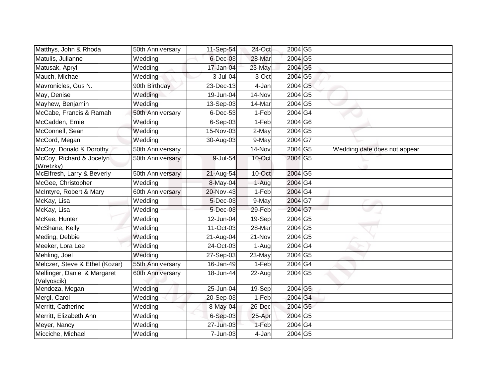| Matthys, John & Rhoda                       | 50th Anniversary | 11-Sep-54               | $24$ -Oct | 2004 G5                    |                              |
|---------------------------------------------|------------------|-------------------------|-----------|----------------------------|------------------------------|
| Matulis, Julianne                           | Wedding          | $6$ -Dec-03             | 28-Mar    | 2004 G5                    |                              |
| Matusak, Apryl                              | Wedding          | 17-Jan-04               | 23-May    | 2004 G5                    |                              |
| Mauch, Michael                              | Wedding          | 3-Jul-04                | 3-Oct     | 2004 G5                    |                              |
| Mavronicles, Gus N.                         | 90th Birthday    | 23-Dec-13               | 4-Jan     | 2004 G5                    |                              |
| May, Denise                                 | Wedding          | $\overline{19}$ -Jun-04 | 14-Nov    | 2004 G5                    |                              |
| Mayhew, Benjamin                            | Wedding          | 13-Sep-03               | 14-Mar    | 2004 G5                    |                              |
| McCabe, Francis & Ramah                     | 50th Anniversary | 6-Dec-53                | 1-Feb     | 2004 G4                    |                              |
| McCadden, Ernie                             | Wedding          | $6-Sep-03$              | 1-Feb     | 2004 G6                    |                              |
| McConnell, Sean                             | Wedding          | 15-Nov-03               | 2-May     | 2004 G5                    |                              |
| McCord, Megan                               | Wedding          | 30-Aug-03               | 9-May     | 2004G7                     |                              |
| McCoy, Donald & Dorothy                     | 50th Anniversary |                         | 14-Nov    | 2004 G5                    | Wedding date does not appear |
| McCoy, Richard & Jocelyn<br>(Wretzky)       | 50th Anniversary | 9-Jul-54                | 10-Oct    | 2004 G5                    |                              |
| McElfresh, Larry & Beverly                  | 50th Anniversary | 21-Aug-54               | 10-Oct    | 2004 G5                    |                              |
| McGee, Christopher                          | Wedding          | 8-May-04                | 1-Aug     | $2004\overline{\text{G4}}$ |                              |
| McIntyre, Robert & Mary                     | 60th Anniversary | 20-Nov-43               | 1-Feb     | 2004 G4                    |                              |
| McKay, Lisa                                 | Wedding          | 5-Dec-03                | 9-May     | 2004 G7                    |                              |
| McKay, Lisa                                 | Wedding          | 5-Dec-03                | 29-Feb    | 2004 G7                    |                              |
| McKee, Hunter                               | Wedding          | 12-Jun-04               | 19-Sep    | 2004 G5                    |                              |
| McShane, Kelly                              | Wedding          | $11-Or-03$              | 28-Mar    | 2004 G5                    |                              |
| Meding, Debbie                              | Wedding          | 21-Aug-04               | 21-Nov    | 2004 G5                    |                              |
| Meeker, Lora Lee                            | Wedding          | 24-Oct-03               | 1-Aug     | 2004G4                     |                              |
| Mehling, Joel                               | Wedding          | 27-Sep-03               | 23-May    | 2004 G5                    |                              |
| Melczer, Steve & Ethel (Kozar)              | 55th Anniversary | $16 - Jan-49$           | 1-Feb     | 2004 G4                    |                              |
| Mellinger, Daniel & Margaret<br>(Valyoscik) | 60th Anniversary | 18-Jun-44               | 22-Aug    | 2004 G5                    |                              |
| Mendoza, Megan                              | Wedding          | $25$ -Jun-04            | 19-Sep    | $2004\overline{\text{G5}}$ |                              |
| Mergl, Carol                                | Wedding          | 20-Sep-03               | 1-Feb     | 2004 G4                    |                              |
| Merritt, Catherine                          | Wedding          | 8-May-04                | 26-Dec    | 2004 G5                    |                              |
| Merritt, Elizabeth Ann                      | Wedding          | $6-Sep-03$              | 25-Apr    | 2004 G5                    |                              |
| Meyer, Nancy                                | Wedding          | 27-Jun-03               | 1-Feb     | 2004G4                     |                              |
| Micciche, Michael                           | Wedding          | 7-Jun-03                | 4-Jan     | 2004 G5                    |                              |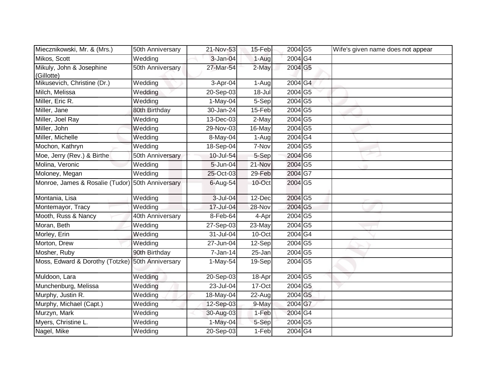| Miecznikowski, Mr. & (Mrs.)                      | 50th Anniversary | 21-Nov-53    | 15-Feb  | 2004 G5                    | Wife's given name does not appear |
|--------------------------------------------------|------------------|--------------|---------|----------------------------|-----------------------------------|
| Mikos, Scott                                     | Wedding          | 3-Jan-04     | 1-Aug   | 2004 G4                    |                                   |
| Mikuly, John & Josephine                         | 50th Anniversary | 27-Mar-54    | 2-May   | 2004 G5                    |                                   |
| (Gillotte)                                       |                  |              |         |                            |                                   |
| Mikusevich, Christine (Dr.)                      | Wedding          | 3-Apr-04     | 1-Aug   | 2004 G4                    |                                   |
| Milch, Melissa                                   | Wedding          | $20-$ Sep-03 | 18-Jul  | 2004 G5                    |                                   |
| Miller, Eric R.                                  | Wedding          | $1-May-04$   | 5-Sep   | 2004 G5                    |                                   |
| Miller, Jane                                     | 80th Birthday    | 30-Jan-24    | 15-Feb  | 2004 G5                    |                                   |
| Miller, Joel Ray                                 | Wedding          | 13-Dec-03    | 2-May   | 2004 G5                    |                                   |
| Miller, John                                     | Wedding          | 29-Nov-03    | 16-May  | 2004 G5                    |                                   |
| Miller, Michelle                                 | Wedding          | 8-May-04     | 1-Aug   | 2004 G4                    |                                   |
| Mochon, Kathryn                                  | Wedding          | 18-Sep-04    | 7-Nov   | 2004 G5                    |                                   |
| Moe, Jerry (Rev.) & Birthe                       | 50th Anniversary | 10-Jul-54    | 5-Sep   | 2004 G6                    |                                   |
| Molina, Veronic                                  | Wedding          | 5-Jun-04     | 21-Nov  | 2004 G5                    |                                   |
| Moloney, Megan                                   | Wedding          | 25-Oct-03    | 29-Feb  | $2004\overline{\text{G7}}$ |                                   |
| Monroe, James & Rosalie (Tudor)                  | 50th Anniversary | 6-Aug-54     | 10-Oct  | 2004 G5                    |                                   |
| Montania, Lisa                                   | Wedding          | 3-Jul-04     | 12-Dec  | 2004 G5                    |                                   |
| Montemayor, Tracy                                | Wedding          | 17-Jul-04    | 28-Nov  | 2004 G5                    |                                   |
| Mooth, Russ & Nancy                              | 40th Anniversary | 8-Feb-64     | 4-Apr   | $2004$ G <sub>5</sub>      |                                   |
| Moran, Beth                                      | Wedding          | 27-Sep-03    | 23-May  | 2004 G5                    |                                   |
| Morley, Erin                                     | Wedding          | 31-Jul-04    | 10-Oct  | 2004 G4                    |                                   |
| Morton, Drew                                     | Wedding          | 27-Jun-04    | 12-Sep  | 2004 G5                    |                                   |
| Mosher, Ruby                                     | 90th Birthday    | 7-Jan-14     | 25-Jan  | 2004 G5                    |                                   |
| Moss, Edward & Dorothy (Totzke) 50th Anniversary |                  | 1-May-54     | 19-Sep  | 2004 G5                    |                                   |
| Muldoon, Lara                                    | Wedding          | $20-$ Sep-03 | 18-Apr  | 2004 G5                    |                                   |
| Munchenburg, Melissa                             | Wedding          | 23-Jul-04    | 17-Oct  | $2004$ G5                  |                                   |
| Murphy, Justin R.                                | Wedding          | 18-May-04    | 22-Aug  | 2004 G5                    |                                   |
| Murphy, Michael (Capt.)                          | Wedding          | 12-Sep-03    | 9-May   | 2004 G7                    |                                   |
| Murzyn, Mark                                     | Wedding          | 30-Aug-03    | 1-Feb   | 2004 G4                    |                                   |
| Myers, Christine L.                              | Wedding          | $1-May-04$   | 5-Sep   | 2004 G5                    |                                   |
| Nagel, Mike                                      | Wedding          | 20-Sep-03    | $1-Feb$ | 2004 G4                    |                                   |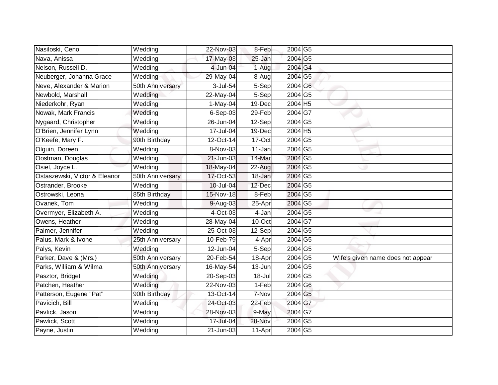| Nasiloski, Ceno               | Wedding          | 22-Nov-03  | 8-Feb     | 2004 G5                    |                                   |
|-------------------------------|------------------|------------|-----------|----------------------------|-----------------------------------|
| Nava, Anissa                  | Wedding          | 17-May-03  | 25-Jan    | 2004 G5                    |                                   |
| Nelson, Russell D.            | Wedding          | 4-Jun-04   | 1-Augl    | 2004 G4                    |                                   |
| Neuberger, Johanna Grace      | Wedding          | 29-May-04  | 8-Aug     | 2004 G5                    |                                   |
| Neve, Alexander & Marion      | 50th Anniversary | 3-Jul-54   | 5-Sep     | 2004 G6                    |                                   |
| Newbold, Marshall             | Wedding          | 22-May-04  | 5-Sep     | 2004 G5                    |                                   |
| Niederkohr, Ryan              | Wedding          | $1-May-04$ | 19-Dec    | $2004$ H <sub>5</sub>      |                                   |
| Nowak, Mark Francis           | Wedding          | $6-Sep-03$ | 29-Feb    | 2004 G7                    |                                   |
| Nygaard, Christopher          | Wedding          | 26-Jun-04  | 12-Sep    | 2004 G5                    |                                   |
| O'Brien, Jennifer Lynn        | Wedding          | 17-Jul-04  | 19-Dec    | 2004 H5                    |                                   |
| O'Keefe, Mary F.              | 90th Birthday    | 12-Oct-14  | 17-Oct    | $2004\overline{\text{G5}}$ |                                   |
| Olguin, Doreen                | Wedding          | 8-Nov-03   | 11-Jan    | 2004 G5                    |                                   |
| Oostman, Douglas              | Wedding          | 21-Jun-03  | 14-Mar    | 2004 G5                    |                                   |
| Osiel, Joyce L.               | Wedding          | 18-May-04  | 22-Aug    | 2004 G5                    |                                   |
| Ostaszewski, Victor & Eleanor | 50th Anniversary | 17-Oct-53  | 18-Jan    | 2004 G5                    |                                   |
| Ostrander, Brooke             | Wedding          | 10-Jul-04  | 12-Dec    | 2004 G5                    |                                   |
| Ostrowski, Leona              | 85th Birthday    | 15-Nov-18  | 8-Feb     | 2004 G5                    |                                   |
| Ovanek, Tom                   | Wedding          | 9-Aug-03   | 25-Apr    | 2004 G5                    |                                   |
| Overmyer, Elizabeth A.        | Wedding          | 4-Oct-03   | 4-Jan     | 2004 G5                    |                                   |
| Owens, Heather                | Wedding          | 28-May-04  | $10$ -Oct | 2004 G7                    |                                   |
| Palmer, Jennifer              | Wedding          | 25-Oct-03  | 12-Sep    | 2004 G5                    |                                   |
| Palus, Mark & Ivone           | 25th Anniversary | 10-Feb-79  | 4-Apr     | 2004 G5                    |                                   |
| Palys, Kevin                  | Wedding          | 12-Jun-04  | 5-Sep     | 2004 G5                    |                                   |
| Parker, Dave & (Mrs.)         | 50th Anniversary | 20-Feb-54  | 18-Apr    | 2004 G5                    | Wife's given name does not appear |
| Parks, William & Wilma        | 50th Anniversary | 16-May-54  | 13-Jun    | 2004 G5                    |                                   |
| Pasztor, Bridget              | Wedding          | 20-Sep-03  | 18-Jul    | 2004 G5                    |                                   |
| Patchen, Heather              | Wedding          | 22-Nov-03  | $1-Feb$   | 2004 G6                    |                                   |
| Patterson, Eugene "Pat"       | 90th Birthday    | 13-Oct-14  | 7-Nov     | 2004 G5                    |                                   |
| Pavicich, Bill                | Wedding          | 24-Oct-03  | 22-Feb    | 2004 G7                    |                                   |
| Pavlick, Jason                | Wedding          | 28-Nov-03  | 9-May     | 2004 G7                    |                                   |
| Pawlick, Scott                | Wedding          | 17-Jul-04  | 28-Nov    | 2004 G5                    |                                   |
| Payne, Justin                 | Wedding          | 21-Jun-03  | 11-Apr    | 2004 G5                    |                                   |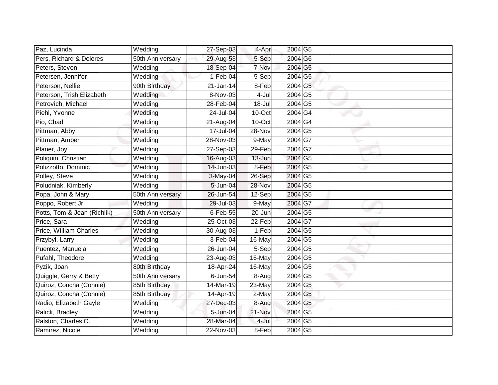| Paz, Lucinda                | Wedding               | 27-Sep-03  | 4-Apr   | 2004 G5                    |  |
|-----------------------------|-----------------------|------------|---------|----------------------------|--|
| Pers, Richard & Dolores     | 50th Anniversary      | 29-Aug-53  | 5-Sep   | 2004 G6                    |  |
| Peters, Steven              | Wedding               | 18-Sep-04  | 7-Nov   | 2004 G5                    |  |
| Petersen, Jennifer          | Wedding               | $1-Feb-04$ | 5-Sep   | 2004 G5                    |  |
| Peterson, Nellie            | 90th Birthday         | 21-Jan-14  | 8-Feb   | 2004 G5                    |  |
| Peterson, Trish Elizabeth   | Wedding               | 8-Nov-03   | 4-Jul   | 2004 G5                    |  |
| Petrovich, Michael          | Wedding               | 28-Feb-04  | 18-Jul  | 2004 G5                    |  |
| Piehl, Yvonne               | Wedding               | 24-Jul-04  | 10-Oct  | 2004G4                     |  |
| Pio, Chad                   | Wedding               | 21-Aug-04  | 10-Oct  | $2004\overline{\text{G4}}$ |  |
| Pittman, Abby               | Wedding               | 17-Jul-04  | 28-Nov  | 2004 G5                    |  |
| Pittman, Amber              | Wedding               | 28-Nov-03  | 9-May   | $2004\overline{\text{G7}}$ |  |
| Planer, Joy                 | Wedding               | 27-Sep-03  | 29-Feb  | 2004 G7                    |  |
| Poliquin, Christian         | Wedding               | 16-Aug-03  | 13-Jun  | 2004 G5                    |  |
| Polizzotto, Dominic         | Wedding               | 14-Jun-03  | 8-Feb   | 2004 G5                    |  |
| Polley, Steve               | Wedding               | 3-May-04   | 26-Sep  | 2004 G5                    |  |
| Poludniak, Kimberly         | $\overline{W}$ edding | 5-Jun-04   | 28-Nov  | 2004 G5                    |  |
| Popa, John & Mary           | 50th Anniversary      | 26-Jun-54  | 12-Sep  | 2004 G5                    |  |
| Poppo, Robert Jr.           | Wedding               | 29-Jul-03  | 9-May   | 2004 G7                    |  |
| Potts, Tom & Jean (Richlik) | 50th Anniversary      | 6-Feb-55   | 20-Jun  | 2004 G5                    |  |
| Price, Sara                 | Wedding               | 25-Oct-03  | 22-Feb  | 2004 G7                    |  |
| Price, William Charles      | Wedding               | 30-Aug-03  | 1-Feb   | 2004 G5                    |  |
| Przybyl, Larry              | Wedding               | 3-Feb-04   | 16-May  | 2004 G5                    |  |
| Puentez, Manuela            | Wedding               | 26-Jun-04  | 5-Sep   | 2004 G5                    |  |
| Pufahl, Theodore            | Wedding               | 23-Aug-03  | 16-May  | 2004 G5                    |  |
| Pyzik, Joan                 | 80th Birthday         | 18-Apr-24  | 16-May  | 2004 G5                    |  |
| Quiggle, Gerry & Betty      | 50th Anniversary      | 6-Jun-54   | $8-Aug$ | 2004 G5                    |  |
| Quiroz, Concha (Connie)     | 85th Birthday         | 14-Mar-19  | 23-May  | 2004 G5                    |  |
| Quiroz, Concha (Connie)     | 85th Birthday         | 14-Apr-19  | 2-May   | 2004 G5                    |  |
| Radio, Elizabeth Gayle      | Wedding               | 27-Dec-03  | 8-Aug   | 2004 G5                    |  |
| Ralick, Bradley             | Wedding               | 5-Jun-04   | 21-Nov  | 2004 G5                    |  |
| Ralston, Charles O.         | Wedding               | 28-Mar-04  | 4-Jul   | 2004 G5                    |  |
| Ramirez, Nicole             | Wedding               | 22-Nov-03  | 8-Feb   | 2004 G5                    |  |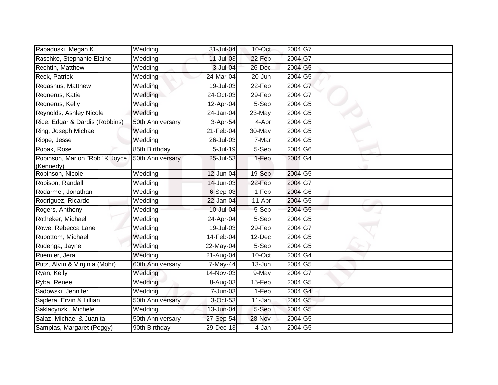| Rapaduski, Megan K.                         | Wedding          | 31-Jul-04               | 10-Oct               | 2004G7                     |  |
|---------------------------------------------|------------------|-------------------------|----------------------|----------------------------|--|
| Raschke, Stephanie Elaine                   | Wedding          | 11-Jul-03               | 22-Feb               | 2004 G7                    |  |
| Rechtin, Matthew                            | Wedding          | 3-Jul-04                | 26-Dec               | 2004 G5                    |  |
| Reck, Patrick                               | Wedding          | 24-Mar-04               | 20-Jun               | 2004 G5                    |  |
| Regashus, Matthew                           | Wedding          | $19 -$ Jul $-03$        | $22-Feb$             | 2004 G7                    |  |
| Regnerus, Katie                             | Wedding          | 24-Oct-03               | 29-Feb               | 2004G7                     |  |
| Regnerus, Kelly                             | Wedding          | 12-Apr-04               | 5-Sep                | 2004 G5                    |  |
| Reynolds, Ashley Nicole                     | Wedding          | $\overline{24}$ -Jan-04 | 23-May               | 2004 G5                    |  |
| Rice, Edgar & Dardis (Robbins)              | 50th Anniversary | 3-Apr-54                | 4-Apr                | 2004 G5                    |  |
| Ring, Joseph Michael                        | Wedding          | 21-Feb-04               | 30-May               | 2004 G5                    |  |
| Rippe, Jesse                                | Wedding          | 26-Jul-03               | 7-Mar                | 2004 G5                    |  |
| Robak, Rose                                 | 85th Birthday    | 5-Jul-19                | 5-Sep                | 2004 G6                    |  |
| Robinson, Marion "Rob" & Joyce<br>(Kennedy) | 50th Anniversary | 25-Jul-53               | 1-Feb                | 2004 G4                    |  |
| Robinson, Nicole                            | Wedding          | 12-Jun-04               | 19-Sep               | 2004 G5                    |  |
| Robison, Randall                            | Wedding          | 14-Jun-03               | 22-Feb               | 2004 G7                    |  |
| Rodarmel, Jonathan                          | Wedding          | 6-Sep-03                | 1-Feb                | 2004 G6                    |  |
| Rodriguez, Ricardo                          | Wedding          | 22-Jan-04               | 11-Apr               | 2004 G5                    |  |
| Rogers, Anthony                             | Wedding          | 10-Jul-04               | 5-Sep                | $2004\overline{\text{G5}}$ |  |
| Rotheker, Michael                           | Wedding          | 24-Apr-04               | 5-Sep                | 2004 G5                    |  |
| Rowe, Rebecca Lane                          | Wedding          | 19-Jul-03               | 29-Feb               | 2004 G7                    |  |
| Rubottom, Michael                           | Wedding          | $14-Feb-04$             | 12-Dec               | 2004 G5                    |  |
| Rudenga, Jayne                              | Wedding          | 22-May-04               | 5-Sep                | 2004 G5                    |  |
| Ruemler, Jera                               | Wedding          | $\overline{2}$ 1-Aug-04 | 10-Oct               | 2004G4                     |  |
| Rutz, Alvin & Virginia (Mohr)               | 60th Anniversary | 7-May-44                | $\overline{1}$ 3-Jun | 2004 G5                    |  |
| Ryan, Kelly                                 | Wedding          | 14-Nov-03               | 9-May                | 2004 G7                    |  |
| Ryba, Renee                                 | Wedding          | 8-Aug-03                | 15-Feb               | 2004 G5                    |  |
| Sadowski, Jennifer                          | Wedding          | 7-Jun-03                | $1-Feb$              | 2004 G4                    |  |
| Sajdera, Ervin & Lillian                    | 50th Anniversary | 3-Oct-53                | 11-Jan               | 2004 G5                    |  |
| Saklacynzki, Michele                        | Wedding          | 13-Jun-04               | 5-Sep                | 2004 G5                    |  |
| Salaz, Michael & Juanita                    | 50th Anniversary | 27-Sep-54               | 28-Nov               | 2004 G5                    |  |
| Sampias, Margaret (Peggy)                   | 90th Birthday    | 29-Dec-13               | 4-Jan                | 2004 G5                    |  |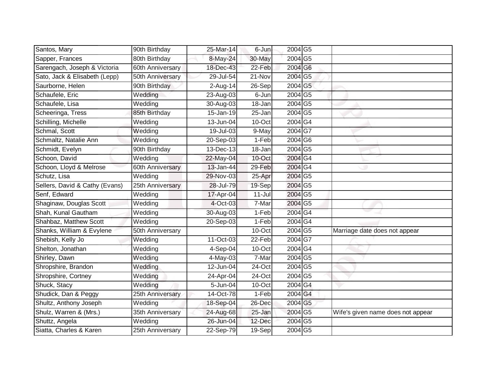| Santos, Mary                   | 90th Birthday    | 25-Mar-14  | 6-Jun      | 2004 G5                    |                                   |
|--------------------------------|------------------|------------|------------|----------------------------|-----------------------------------|
| Sapper, Frances                | 80th Birthday    | 8-May-24   | 30-May     | 2004 G5                    |                                   |
| Sarengach, Joseph & Victoria   | 60th Anniversary | 18-Dec-43  | 22-Feb     | 2004 G6                    |                                   |
| Sato, Jack & Elisabeth (Lepp)  | 50th Anniversary | 29-Jul-54  | 21-Nov     | 2004 G5                    |                                   |
| Saurborne, Helen               | 90th Birthday    | $2-Aug-14$ | 26-Sep     | 2004 G5                    |                                   |
| Schaufele, Eric                | Wedding          | 23-Aug-03  | 6-Jun      | 2004 G5                    |                                   |
| Schaufele, Lisa                | Wedding          | 30-Aug-03  | 18-Jan     | 2004 G5                    |                                   |
| Scheeringa, Tress              | 85th Birthday    | 15-Jan-19  | 25-Jan     | 2004 G5                    |                                   |
| Schilling, Michelle            | Wedding          | 13-Jun-04  | 10-Oct     | 2004G4                     |                                   |
| Schmal, Scott                  | Wedding          | 19-Jul-03  | 9-May      | 2004 G7                    |                                   |
| Schmaltz, Natalie Ann          | Wedding          | 20-Sep-03  | 1-Feb      | $2004\overline{\text{G6}}$ |                                   |
| Schmidt, Evelyn                | 90th Birthday    | 13-Dec-13  | 18-Jan     | 2004 G5                    |                                   |
| Schoon, David                  | Wedding          | 22-May-04  | 10-Oct     | 2004 G4                    |                                   |
| Schoon, Lloyd & Melrose        | 60th Anniversary | 13-Jan-44  | 29-Feb     | 2004 G4                    |                                   |
| Schutz, Lisa                   | Wedding          | 29-Nov-03  | 25-Apr     | 2004 G5                    |                                   |
| Sellers, David & Cathy (Evans) | 25th Anniversary | 28-Jul-79  | 19-Sep     | 2004 G5                    |                                   |
| Senf, Edward                   | Wedding          | 17-Apr-04  | $11 -$ Jul | 2004 G5                    |                                   |
| Shaginaw, Douglas Scott        | Wedding          | 4-Oct-03   | 7-Mar      | $2004\overline{\text{G5}}$ |                                   |
| Shah, Kunal Gautham            | Wedding          | 30-Aug-03  | 1-Feb      | 2004 G4                    |                                   |
| Shahbaz, Matthew Scott         | Wedding          | 20-Sep-03  | $1-Feb$    | 2004 G4                    |                                   |
| Shanks, William & Evylene      | 50th Anniversary |            | 10-Oct     | 2004 G5                    | Marriage date does not appear     |
| Shebish, Kelly Jo              | Wedding          | 11-Oct-03  | 22-Feb     | $2004\overline{\text{G7}}$ |                                   |
| Shelton, Jonathan              | Wedding          | 4-Sep-04   | 10-Oct     | 2004G4                     |                                   |
| Shirley, Dawn                  | Wedding          | 4-May-03   | 7-Mar      | 2004 G5                    |                                   |
| Shropshire, Brandon            | Wedding          | 12-Jun-04  | 24-Oct     | 2004 G5                    |                                   |
| Shropshire, Cortney            | Wedding          | 24-Apr-04  | 24-Oct     | 2004 G5                    |                                   |
| Shuck, Stacy                   | Wedding          | 5-Jun-04   | 10-Oct     | 2004 G4                    |                                   |
| Shudick, Dan & Peggy           | 25th Anniversary | 14-Oct-78  | 1-Feb      | 2004 G4                    |                                   |
| Shultz, Anthony Joseph         | Wedding          | 18-Sep-04  | 26-Dec     | 2004 G5                    |                                   |
| Shulz, Warren & (Mrs.)         | 35th Anniversary | 24-Aug-68  | 25-Jan     | 2004 G5                    | Wife's given name does not appear |
| Shuttz, Angela                 | Wedding          | 26-Jun-04  | 12-Dec     | 2004 G5                    |                                   |
| Siatta, Charles & Karen        | 25th Anniversary | 22-Sep-79  | $19-Sep$   | 2004 G5                    |                                   |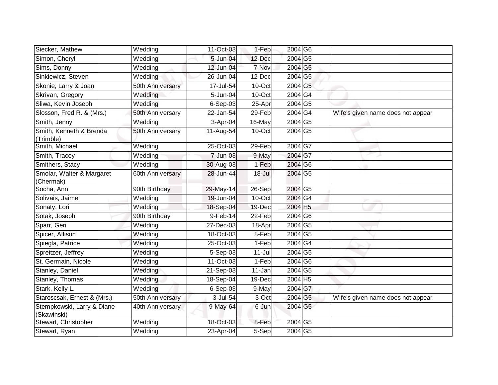| Siecker, Mathew                           | Wedding               | 11-Oct-03  | 1-Feb      | 2004 G6                    |                                   |
|-------------------------------------------|-----------------------|------------|------------|----------------------------|-----------------------------------|
| Simon, Cheryl                             | Wedding               | 5-Jun-04   | 12-Dec     | 2004 G5                    |                                   |
| Sims, Donny                               | Wedding               | 12-Jun-04  | 7-Nov      | 2004 G5                    |                                   |
| Sinkiewicz, Steven                        | Wedding               | 26-Jun-04  | 12-Dec     | 2004 G5                    |                                   |
| Skonie, Larry & Joan                      | 50th Anniversary      | 17-Jul-54  | 10-Oct     | 2004 G5                    |                                   |
| Skrivan, Gregory                          | Wedding               | 5-Jun-04   | $10$ -Oct  | 2004 G4                    |                                   |
| Sliwa, Kevin Joseph                       | Wedding               | 6-Sep-03   | 25-Apr     | 2004 G5                    |                                   |
| Slosson, Fred R. & (Mrs.)                 | 50th Anniversary      | 22-Jan-54  | 29-Feb     | 2004G4                     | Wife's given name does not appear |
| Smith, Jenny                              | Wedding               | 3-Apr-04   | 16-May     | 2004 G5                    |                                   |
| Smith, Kenneth & Brenda<br>(Trimble)      | 50th Anniversary      | 11-Aug-54  | 10-Oct     | 2004 G5                    |                                   |
| Smith, Michael                            | Wedding               | 25-Oct-03  | 29-Feb     | $2004\overline{\text{G7}}$ |                                   |
| Smith, Tracey                             | Wedding               | 7-Jun-03   | 9-May      | 2004 G7                    |                                   |
| Smithers, Stacy                           | Wedding               | 30-Aug-03  | 1-Feb      | 2004 G6                    |                                   |
| Smolar, Walter & Margaret<br>(Chermak)    | 60th Anniversary      | 28-Jun-44  | $18 -$ Jul | 2004 G5                    |                                   |
| Socha, Ann                                | 90th Birthday         | 29-May-14  | 26-Sep     | 2004 G5                    |                                   |
| Solivais, Jaime                           | Wedding               | 19-Jun-04  | 10-Oct     | $2004\overline{\text{G4}}$ |                                   |
| Sonaty, Lori                              | $\overline{W}$ edding | 18-Sep-04  | 19-Dec     | 2004 H5                    |                                   |
| Sotak, Joseph                             | 90th Birthday         | $9-Feb-14$ | 22-Feb     | 2004 G6                    |                                   |
| Sparr, Geri                               | Wedding               | 27-Dec-03  | 18-Apr     | $2004\overline{\text{G5}}$ |                                   |
| Spicer, Allison                           | Wedding               | 18-Oct-03  | 8-Feb      | 2004 G5                    |                                   |
| Spiegla, Patrice                          | Wedding               | 25-Oct-03  | 1-Feb      | 2004G4                     |                                   |
| Spreitzer, Jeffrey                        | Wedding               | 5-Sep-03   | $11 -$ Jul | 2004 G5                    |                                   |
| St. Germain, Nicole                       | Wedding               | 11-Oct-03  | 1-Feb      | $2004$ G6                  |                                   |
| Stanley, Daniel                           | Wedding               | 21-Sep-03  | 11-Jan     | 2004 G5                    |                                   |
| Stanley, Thomas                           | Wedding               | 18-Sep-04  | 19-Dec     | 2004 H5                    |                                   |
| Stark, Kelly L.                           | Wedding               | 6-Sep-03   | 9-May      | 2004 G7                    |                                   |
| Staroscsak, Ernest & (Mrs.)               | 50th Anniversary      | 3-Jul-54   | 3-Oct      | 2004 G5                    | Wife's given name does not appear |
| Stempkowski, Larry & Diane<br>(Skawinski) | 40th Anniversary      | 9-May-64   | 6-Jun      | 2004 G5                    |                                   |
| Stewart, Christopher                      | Wedding               | 18-Oct-03  | 8-Feb      | 2004 G5                    |                                   |
| Stewart, Ryan                             | Wedding               | 23-Apr-04  | 5-Sep      | 2004 G5                    |                                   |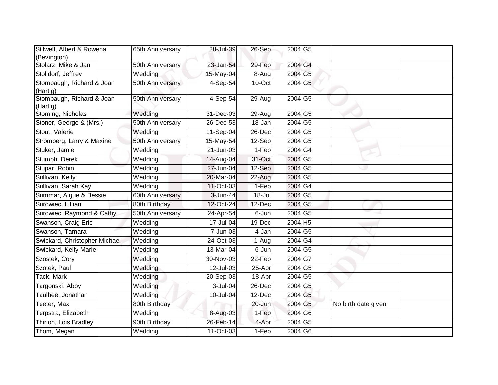| Stilwell, Albert & Rowena<br>(Bevington) | 65th Anniversary | 28-Jul-39 | 26-Sep   | 2004 G5                    |                     |
|------------------------------------------|------------------|-----------|----------|----------------------------|---------------------|
| Stolarz, Mike & Jan                      | 50th Anniversary | 23-Jan-54 | 29-Feb   | 2004 G4                    |                     |
| Stolldorf, Jeffrey                       | Wedding          | 15-May-04 | 8-Aug    | 2004 G5                    |                     |
| Stombaugh, Richard & Joan<br>(Hartig)    | 50th Anniversary | 4-Sep-54  | 10-Oct   | 2004 G5                    |                     |
| Stombaugh, Richard & Joan<br>(Hartig)    | 50th Anniversary | 4-Sep-54  | $29-Aug$ | 2004 G5                    |                     |
| Stoming, Nicholas                        | Wedding          | 31-Dec-03 | 29-Aug   | 2004 G5                    |                     |
| Stoner, George & (Mrs.)                  | 50th Anniversary | 26-Dec-53 | 18-Jan   | 2004 G5                    |                     |
| Stout, Valerie                           | Wedding          | 11-Sep-04 | 26-Dec   | 2004 G5                    |                     |
| Stromberg, Larry & Maxine                | 50th Anniversary | 15-May-54 | 12-Sep   | 2004 G5                    |                     |
| Stuker, Jamie                            | Wedding          | 21-Jun-03 | $1-Feb$  | 2004 G4                    |                     |
| Stumph, Derek                            | Wedding          | 14-Aug-04 | 31-Oct   | 2004 G5                    |                     |
| Stupar, Robin                            | Wedding          | 27-Jun-04 | $12-Sep$ | 2004 G5                    |                     |
| Sullivan, Kelly                          | Wedding          | 20-Mar-04 | 22-Aug   | 2004 G5                    |                     |
| Sullivan, Sarah Kay                      | Wedding          | 11-Oct-03 | 1-Feb    | 2004 G4                    |                     |
| Summar, Algue & Bessie                   | 60th Anniversary | 3-Jun-44  | 18-Jul   | 2004 G5                    |                     |
| Surowiec, Lillian                        | 80th Birthday    | 12-Oct-24 | 12-Dec   | 2004 G5                    |                     |
| Surowiec, Raymond & Cathy                | 50th Anniversary | 24-Apr-54 | 6-Jun    | $2004\overline{\text{G5}}$ |                     |
| Swanson, Craig Eric                      | Wedding          | 17-Jul-04 | 19-Dec   | 2004 H5                    |                     |
| Swanson, Tamara                          | Wedding          | 7-Jun-03  | 4-Jan    | 2004 G5                    |                     |
| Swickard, Christopher Michael            | Wedding          | 24-Oct-03 | 1-Augl   | 2004G4                     |                     |
| Swickard, Kelly Marie                    | Wedding          | 13-Mar-04 | 6-Jun    | $2004\overline{\text{G5}}$ |                     |
| Szostek, Cory                            | Wedding          | 30-Nov-03 | 22-Feb   | $2004 G\overline{7}$       |                     |
| Szotek, Paul                             | Wedding          | 12-Jul-03 | 25-Apr   | 2004 G5                    |                     |
| Tack, Mark                               | Wedding          | 20-Sep-03 | 18-Apr   | $2004\overline{\text{G5}}$ |                     |
| Targonski, Abby                          | Wedding          | 3-Jul-04  | 26-Dec   | 2004 G5                    |                     |
| Taulbee, Jonathan                        | Wedding          | 10-Jul-04 | 12-Dec   | 2004 G5                    |                     |
| Teeter, Max                              | 80th Birthday    |           | 20-Jun   | 2004 G5                    | No birth date given |
| Terpstra, Elizabeth                      | Wedding          | 8-Aug-03  | 1-Feb    | 2004 G6                    |                     |
| Thirion, Lois Bradley                    | 90th Birthday    | 26-Feb-14 | 4-Apr    | 2004 G5                    |                     |
| Thom, Megan                              | Wedding          | 11-Oct-03 | 1-Feb    | 2004 G6                    |                     |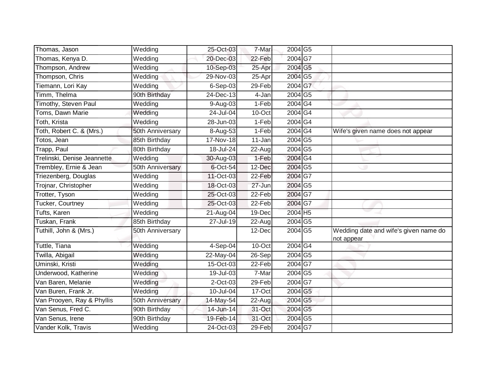| Thomas, Jason               | Wedding               | 25-Oct-03               | 7-Mar  | 2004 G5                    |                                                     |
|-----------------------------|-----------------------|-------------------------|--------|----------------------------|-----------------------------------------------------|
| Thomas, Kenya D.            | Wedding               | 20-Dec-03               | 22-Feb | 2004 G7                    |                                                     |
| Thompson, Andrew            | Wedding               | 10-Sep-03               | 25-Apr | 2004 G5                    |                                                     |
| Thompson, Chris             | Wedding               | 29-Nov-03               | 25-Apr | 2004 G5                    |                                                     |
| Tiemann, Lori Kay           | Wedding               | 6-Sep-03                | 29-Feb | 2004 G7                    |                                                     |
| Timm, Thelma                | 90th Birthday         | $\overline{2}$ 4-Dec-13 | 4-Jan  | 2004 G5                    |                                                     |
| Timothy, Steven Paul        | Wedding               | 9-Aug-03                | 1-Feb  | 2004G4                     |                                                     |
| Toms, Dawn Marie            | Wedding               | 24-Jul-04               | 10-Oct | 2004 G4                    |                                                     |
| Toth, Krista                | Wedding               | 28-Jun-03               | 1-Feb  | 2004 G4                    |                                                     |
| Toth, Robert C. & (Mrs.)    | 50th Anniversary      | 8-Aug-53                | 1-Feb  | 2004G4                     | Wife's given name does not appear                   |
| Totos, Jean                 | 85th Birthday         | $17-Nov-18$             | 11-Jan | $2004\overline{\text{G5}}$ |                                                     |
| Trapp, Paul                 | 80th Birthday         | 18-Jul-24               | 22-Aug | 2004 G5                    |                                                     |
| Trelinski, Denise Jeannette | Wedding               | 30-Aug-03               | 1-Feb  | 2004 G4                    |                                                     |
| Trembley, Ernie & Jean      | 50th Anniversary      | 6-Oct-54                | 12-Dec | 2004 G5                    |                                                     |
| Triezenberg, Douglas        | Wedding               | 11-Oct-03               | 22-Feb | 2004G7                     |                                                     |
| Trojnar, Christopher        | Wedding               | 18-Oct-03               | 27-Jun | 2004 G5                    |                                                     |
| <b>Trotter, Tyson</b>       | Wedding               | 25-Oct-03               | 22-Feb | 2004 G7                    |                                                     |
| Tucker, Courtney            | $\overline{W}$ edding | 25-Oct-03               | 22-Feb | 2004 G7                    |                                                     |
| Tufts, Karen                | Wedding               | 21-Aug-04               | 19-Dec | 2004 H5                    |                                                     |
| Tuskan, Frank               | 85th Birthday         | 27-Jul-19               | 22-Aug | 2004 G5                    |                                                     |
| Tuthill, John & (Mrs.)      | 50th Anniversary      |                         | 12-Dec | 2004 G5                    | Wedding date and wife's given name do<br>not appear |
| Tuttle, Tiana               | Wedding               | 4-Sep-04                | 10-Oct | 2004 G4                    |                                                     |
| Twilla, Abigail             | Wedding               | 22-May-04               | 26-Sep | 2004 G5                    |                                                     |
| Uminski, Kristi             | Wedding               | 15-Oct-03               | 22-Feb | 2004G7                     |                                                     |
| Underwood, Katherine        | Wedding               | 19-Jul-03               | 7-Mar  | 2004 G5                    |                                                     |
| Van Baren, Melanie          | Wedding               | 2-Oct-03                | 29-Feb | 2004G7                     |                                                     |
| Van Buren, Frank Jr.        | Wedding               | $10 -$ Jul-04           | 17-Oct | $2004$ G5                  |                                                     |
| Van Prooyen, Ray & Phyllis  | 50th Anniversary      | 14-May-54               | 22-Aug | 2004 G5                    |                                                     |
| Van Senus, Fred C.          | 90th Birthday         | 14-Jun-14               | 31-Oct | 2004 G5                    |                                                     |
| Van Senus, Irene            | 90th Birthday         | 19-Feb-14               | 31-Oct | 2004 G5                    |                                                     |
| Vander Kolk, Travis         | Wedding               | 24-Oct-03               | 29-Feb | 2004G7                     |                                                     |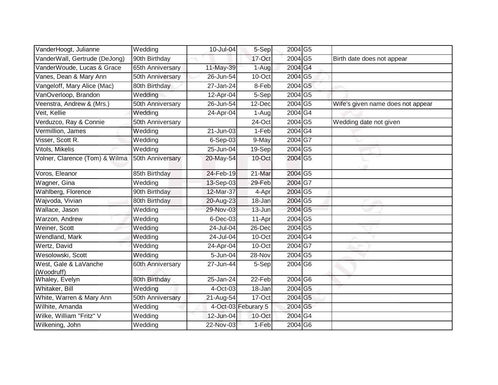| VanderHoogt, Julianne               | Wedding          | 10-Jul-04  | 5-Sep               | 2004 G5                    |                                   |
|-------------------------------------|------------------|------------|---------------------|----------------------------|-----------------------------------|
| VanderWall, Gertrude (DeJong)       | 90th Birthday    |            | 17-Oct              | 2004 G5                    | Birth date does not appear        |
| VanderWoude, Lucas & Grace          | 65th Anniversary | 11-May-39  | $1-Aug$             | 2004 G4                    |                                   |
| Vanes, Dean & Mary Ann              | 50th Anniversary | 26-Jun-54  | 10-Oct              | 2004 G5                    |                                   |
| Vangeloff, Mary Alice (Mac)         | 80th Birthday    | 27-Jan-24  | 8-Feb               | 2004 G5                    |                                   |
| VanOverloop, Brandon                | Wedding          | 12-Apr-04  | 5-Sep               | 2004 G5                    |                                   |
| Veenstra, Andrew & (Mrs.)           | 50th Anniversary | 26-Jun-54  | 12-Dec              | 2004 G5                    | Wife's given name does not appear |
| Veit, Kellie                        | Wedding          | 24-Apr-04  | 1-Aug               | 2004 G4                    |                                   |
| Verduzco, Ray & Connie              | 50th Anniversary |            | 24-Oct              | 2004 G5                    | Wedding date not given            |
| Vermillion, James                   | Wedding          | 21-Jun-03  | $1-Feb$             | 2004 G4                    |                                   |
| Visser, Scott R.                    | Wedding          | $6-Sep-03$ | 9-May               | 2004G7                     |                                   |
| Vitols, Mikelis                     | Wedding          | 25-Jun-04  | 19-Sep              | 2004 G5                    |                                   |
| Volner, Clarence (Tom) & Wilma      | 50th Anniversary | 20-May-54  | 10-Oct              | 2004 G5                    |                                   |
| Voros, Eleanor                      | 85th Birthday    | 24-Feb-19  | 21-Mar              | $2004\overline{\text{G5}}$ |                                   |
| Wagner, Gina                        | Wedding          | 13-Sep-03  | 29-Feb              | 2004 G7                    |                                   |
| Wahlberg, Florence                  | 90th Birthday    | 12-Mar-37  | 4-Apr               | 2004 G5                    |                                   |
| Wajvoda, Vivian                     | 80th Birthday    | 20-Aug-23  | 18-Jan              | 2004 G5                    |                                   |
| Wallace, Jason                      | Wedding          | 29-Nov-03  | 13-Jun              | 2004 G5                    |                                   |
| Warzon, Andrew                      | Wedding          | 6-Dec-03   | 11-Apr              | 2004 G5                    |                                   |
| Weiner, Scott                       | Wedding          | 24-Jul-04  | 26-Dec              | 2004 G5                    |                                   |
| Wendland, Mark                      | Wedding          | 24-Jul-04  | 10-Oct              | 2004G4                     |                                   |
| Wertz, David                        | Wedding          | 24-Apr-04  | 10-Oct              | 2004G7                     |                                   |
| Wesolowski, Scott                   | Wedding          | 5-Jun-04   | 28-Nov              | 2004 G5                    |                                   |
| West, Gale & LaVanche<br>(Woodruff) | 60th Anniversary | 27-Jun-44  | 5-Sep               | 2004 G6                    |                                   |
| Whaley, Evelyn                      | 80th Birthday    | 25-Jan-24  | 22-Feb              | 2004 G6                    |                                   |
| Whitaker, Bill                      | Wedding          | 4-Oct-03   | 18-Jan              | 2004 G5                    |                                   |
| White, Warren & Mary Ann            | 50th Anniversary | 21-Aug-54  | 17-Oct              | 2004 G5                    |                                   |
| Wilhite, Amanda                     | Wedding          |            | 4-Oct-03 Feburary 5 | 2004 G5                    |                                   |
| Wilke, William "Fritz" V            | Wedding          | 12-Jun-04  | 10-Oct              | 2004 G4                    |                                   |
| Wilkening, John                     | Wedding          | 22-Nov-03  | 1-Feb               | 2004 G6                    |                                   |